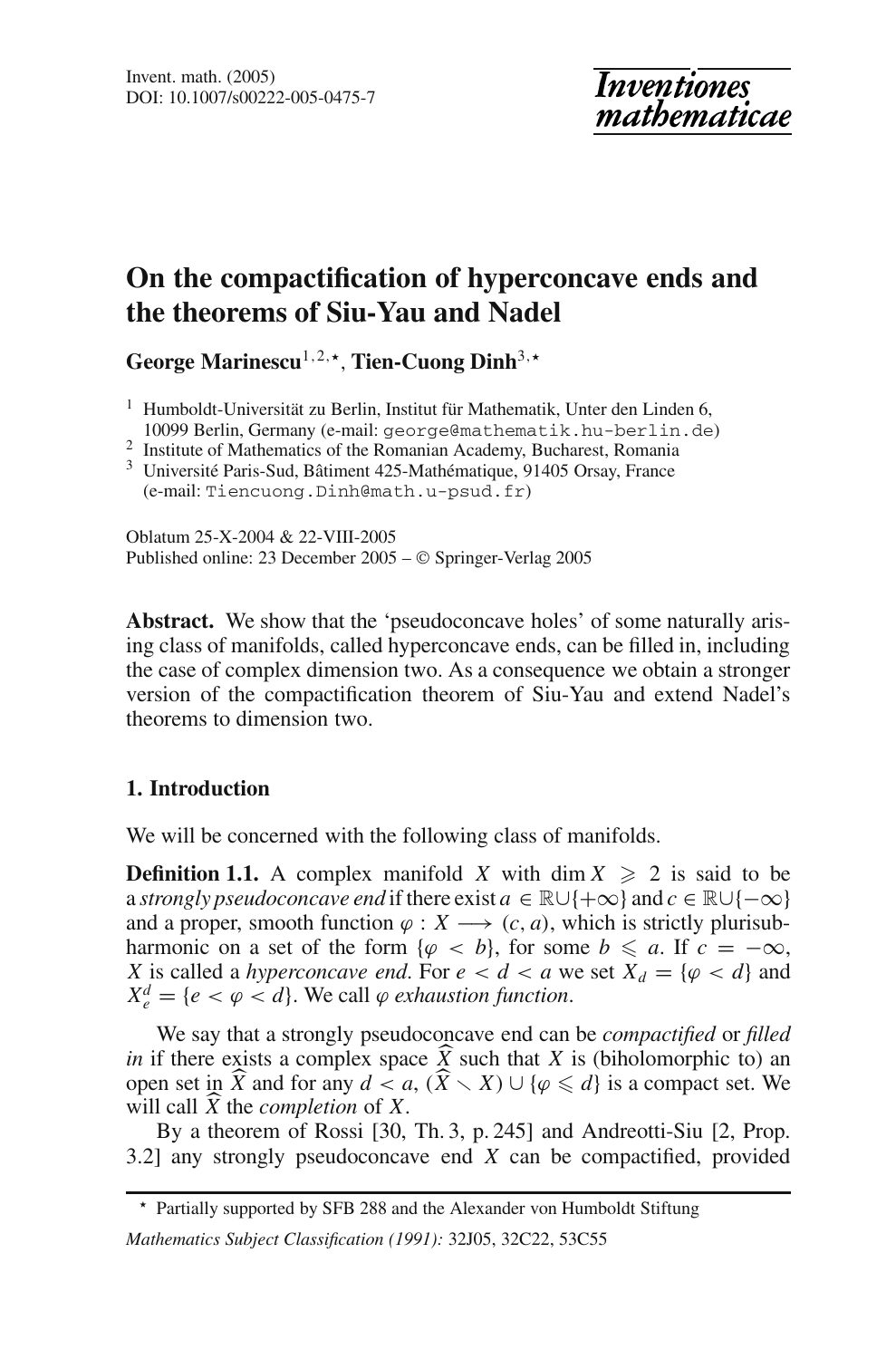# **On the compactification of hyperconcave ends and the theorems of Siu-Yau and Nadel**

George Marinescu<sup>1,2, $\star$ </sup>, Tien-Cuong Dinh<sup>3, $\star$ </sup>

<sup>1</sup> Humboldt-Universität zu Berlin, Institut für Mathematik, Unter den Linden 6, 10099 Berlin, Germany (e-mail: george@mathematik.hu-berlin.de)

<sup>2</sup> Institute of Mathematics of the Romanian Academy, Bucharest, Romania

<sup>3</sup> Université Paris-Sud, Bâtiment 425-Mathématique, 91405 Orsay, France (e-mail: Tiencuong.Dinh@math.u-psud.fr)

Oblatum 25-X-2004 & 22-VIII-2005 Published online: 23 December 2005 – © Springer-Verlag 2005

**Abstract.** We show that the 'pseudoconcave holes' of some naturally arising class of manifolds, called hyperconcave ends, can be filled in, including the case of complex dimension two. As a consequence we obtain a stronger version of the compactification theorem of Siu-Yau and extend Nadel's theorems to dimension two.

# **1. Introduction**

We will be concerned with the following class of manifolds.

**Definition 1.1.** A complex manifold *X* with dim  $X \ge 2$  is said to be a *strongly pseudoconcave end* if there exist  $a \in \mathbb{R} \cup \{+\infty\}$  and  $c \in \mathbb{R} \cup \{-\infty\}$ and a proper, smooth function  $\varphi : X \longrightarrow (c, a)$ , which is strictly plurisubharmonic on a set of the form  $\{\varphi \prec b\}$ , for some  $b \leq a$ . If  $c = -\infty$ , *X* is called a *hyperconcave end*. For  $e < d < a$  we set  $X_d = \{ \varphi < d \}$  and  $X_e^d = \{e < \varphi < d\}$ . We call  $\varphi$  *exhaustion function*.

We say that a strongly pseudoconcave end can be *compactified* or *filled in* if there exists a complex space *X* such that *X* is (biholomorphic to) an open set in  $\hat{Y}$  and for any  $d < a$  ( $\hat{Y} > Y$ ) |  $1/a < d$  is a compact set We open set in  $\widehat{X}$  and for any  $d < a$ ,  $(\widehat{X} \setminus X) \cup \{\varphi \leq d\}$  is a compact set. We will call  $\widehat{X}$  the *completion* of  $X$ will call  $\overline{X}$  the *completion* of  $\overline{X}$ .<br>
By a theorem of Rossi 130

By a theorem of Rossi [30, Th. 3, p. 245] and Andreotti-Siu [2, Prop. 3.2] any strongly pseudoconcave end *X* can be compactified, provided

<sup>\*</sup> Partially supported by SFB 288 and the Alexander von Humboldt Stiftung *Mathematics Subject Classification (1991):* 32J05, 32C22, 53C55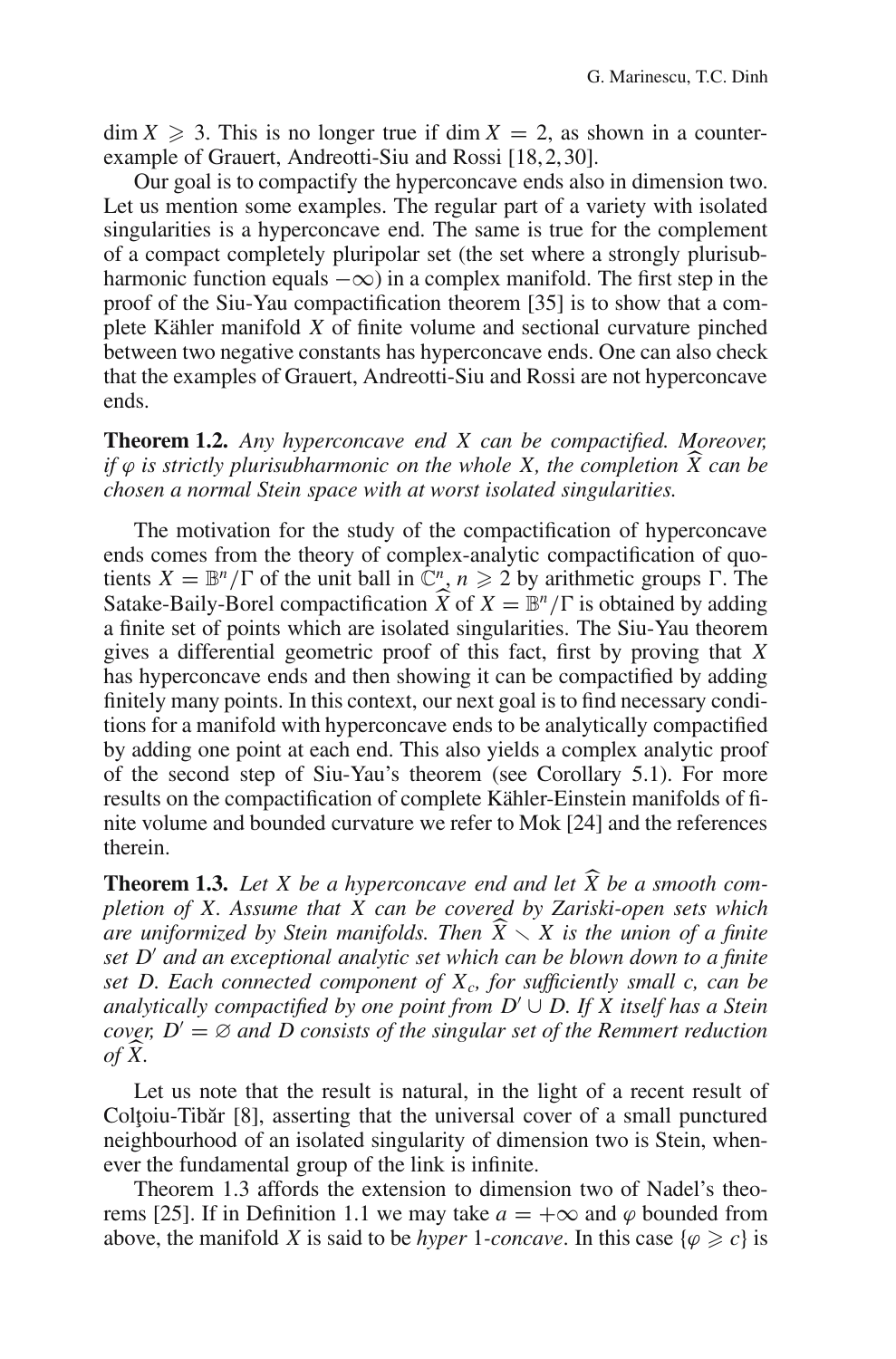$\dim X \geq 3$ . This is no longer true if  $\dim X = 2$ , as shown in a counterexample of Grauert, Andreotti-Siu and Rossi [18,2,30].

Our goal is to compactify the hyperconcave ends also in dimension two. Let us mention some examples. The regular part of a variety with isolated singularities is a hyperconcave end. The same is true for the complement of a compact completely pluripolar set (the set where a strongly plurisubharmonic function equals  $-\infty$ ) in a complex manifold. The first step in the proof of the Siu-Yau compactification theorem [35] is to show that a complete Kähler manifold *X* of finite volume and sectional curvature pinched between two negative constants has hyperconcave ends. One can also check that the examples of Grauert, Andreotti-Siu and Rossi are not hyperconcave ends.

**Theorem 1.2.** *Any hyperconcave end X can be compactified. Moreover, if*  $\varphi$  *is strictly plurisubharmonic on the whole X, the completion*  $\hat{X}$  *can be chosen a normal Stein space with at worst isolated singularities.*

The motivation for the study of the compactification of hyperconcave ends comes from the theory of complex-analytic compactification of quotients  $X = \mathbb{B}^n/\Gamma$  of the unit ball in  $\mathbb{C}^n$ ,  $n \geq 2$  by arithmetic groups  $\Gamma$ . The Satake-Baily-Borel compactification  $\widehat{X}$  of  $X = \mathbb{B}^n/\Gamma$  is obtained by adding a finite set of points which are isolated singularities. The Siu-Yau theorem gives a differential geometric proof of this fact, first by proving that *X* has hyperconcave ends and then showing it can be compactified by adding finitely many points. In this context, our next goal is to find necessary conditions for a manifold with hyperconcave ends to be analytically compactified by adding one point at each end. This also yields a complex analytic proof of the second step of Siu-Yau's theorem (see Corollary 5.1). For more results on the compactification of complete Kähler-Einstein manifolds of finite volume and bounded curvature we refer to Mok [24] and the references therein.

**Theorem 1.3.** Let X be a hyperconcave end and let  $\widehat{X}$  be a smooth com*pletion of X. Assume that X can be covered by Zariski-open sets which are uniformized by Stein manifolds. Then*  $\widehat{X} \setminus X$  *is the union of a finite* set  $D'$  and an exceptional analytic set which can be blown down to a finite *set D and an exceptional analytic set which can be blown down to a finite* set D. Each connected component of  $X_c$ , for sufficiently small c, can be *analytically compactified by one point from D'*  $\cup$  *D. If X itself has a Stein cover,*  $D' = \emptyset$  *and D consists of the singular set of the Remmert reduction of X.*

Let us note that the result is natural, in the light of a recent result of Coltoiu-Tibăr [8], asserting that the universal cover of a small punctured neighbourhood of an isolated singularity of dimension two is Stein, whenever the fundamental group of the link is infinite.

Theorem 1.3 affords the extension to dimension two of Nadel's theorems [25]. If in Definition 1.1 we may take  $a = +\infty$  and  $\varphi$  bounded from above, the manifold *X* is said to be *hyper* 1*-concave*. In this case  $\{\varphi \geq c\}$  is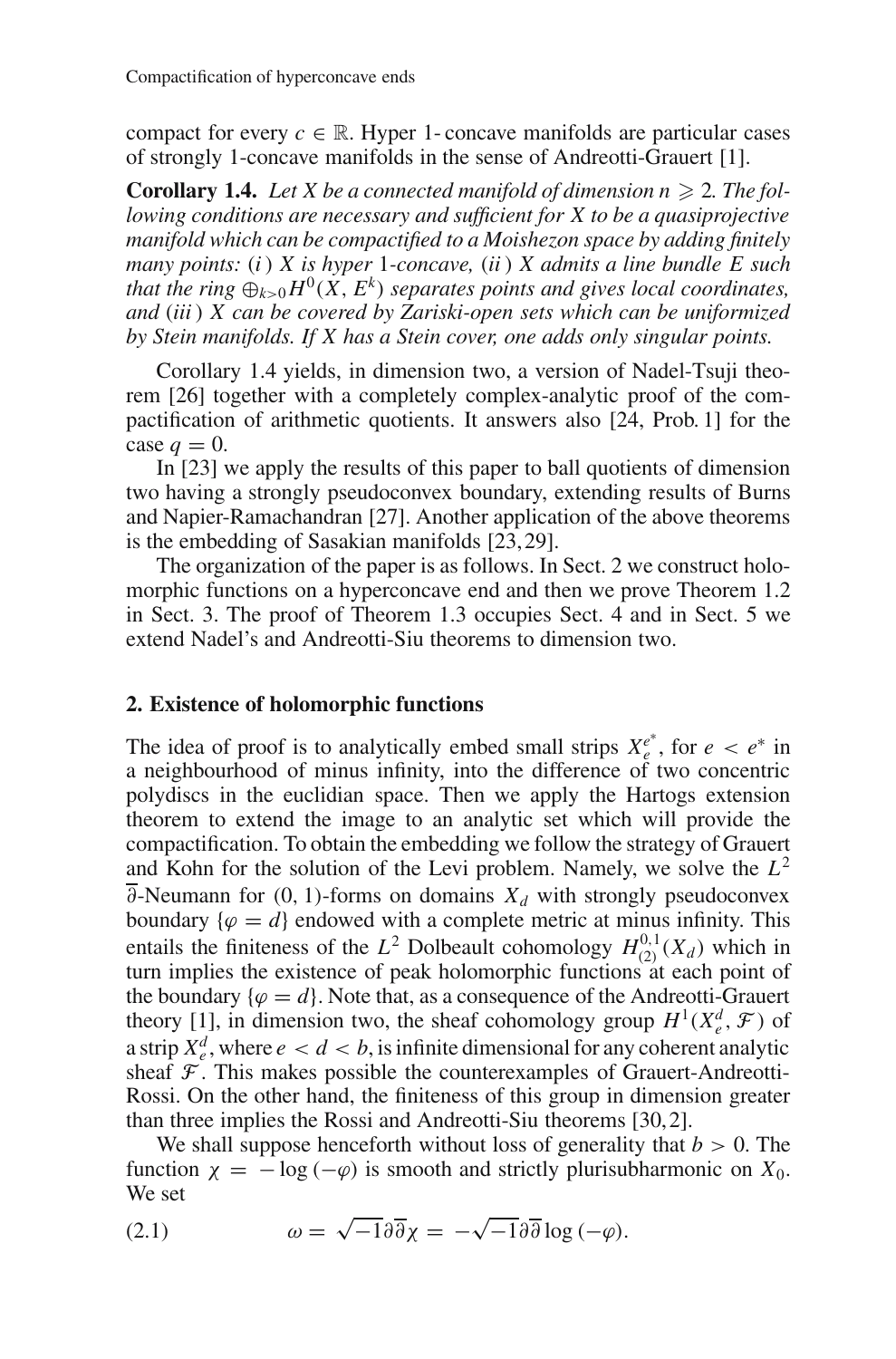compact for every  $c \in \mathbb{R}$ . Hyper 1- concave manifolds are particular cases of strongly 1-concave manifolds in the sense of Andreotti-Grauert [1].

**Corollary 1.4.** Let X be a connected manifold of dimension  $n \geq 2$ . The fol*lowing conditions are necessary and sufficient for X to be a quasiprojective manifold which can be compactified to a Moishezon space by adding finitely many points:* (*i* ) *X is hyper* 1*-concave,* (*ii* ) *X admits a line bundle E such that the ring*  $\bigoplus_{k>0} H^0(X, E^k)$  *separates points and gives local coordinates, and* (*iii* ) *X can be covered by Zariski-open sets which can be uniformized by Stein manifolds. If X has a Stein cover, one adds only singular points.*

Corollary 1.4 yields, in dimension two, a version of Nadel-Tsuji theorem [26] together with a completely complex-analytic proof of the compactification of arithmetic quotients. It answers also [24, Prob. 1] for the case  $q = 0$ .

In [23] we apply the results of this paper to ball quotients of dimension two having a strongly pseudoconvex boundary, extending results of Burns and Napier-Ramachandran [27]. Another application of the above theorems is the embedding of Sasakian manifolds [23,29].

The organization of the paper is as follows. In Sect. 2 we construct holomorphic functions on a hyperconcave end and then we prove Theorem 1.2 in Sect. 3. The proof of Theorem 1.3 occupies Sect. 4 and in Sect. 5 we extend Nadel's and Andreotti-Siu theorems to dimension two.

# **2. Existence of holomorphic functions**

The idea of proof is to analytically embed small strips  $X_e^{e^*}$ , for  $e < e^*$  in a neighbourhood of minus infinity, into the difference of two concentric polydiscs in the euclidian space. Then we apply the Hartogs extension theorem to extend the image to an analytic set which will provide the compactification. To obtain the embedding we follow the strategy of Grauert and Kohn for the solution of the Levi problem. Namely, we solve the  $L^2$  $\overline{\partial}$ -Neumann for (0, 1)-forms on domains  $X_d$  with strongly pseudoconvex boundary  $\{\varphi = d\}$  endowed with a complete metric at minus infinity. This entails the finiteness of the  $L^2$  Dolbeault cohomology  $H_{(2)}^{0,1}(X_d)$  which in turn implies the existence of peak holomorphic functions at each point of the boundary  $\{\varphi = d\}$ . Note that, as a consequence of the Andreotti-Grauert theory [1], in dimension two, the sheaf cohomology group  $H^1(X_e^d, \mathcal{F})$  of a strip  $X_e^d$ , where  $e < d < b$ , is infinite dimensional for any coherent analytic sheaf  $\mathcal F$ . This makes possible the counterexamples of Grauert-Andreotti-Rossi. On the other hand, the finiteness of this group in dimension greater than three implies the Rossi and Andreotti-Siu theorems [30,2].

We shall suppose henceforth without loss of generality that  $b > 0$ . The function  $\chi = -\log(-\varphi)$  is smooth and strictly plurisubharmonic on  $X_0$ . We set

(2.1) 
$$
\omega = \sqrt{-1} \partial \overline{\partial} \chi = -\sqrt{-1} \partial \overline{\partial} \log (-\varphi).
$$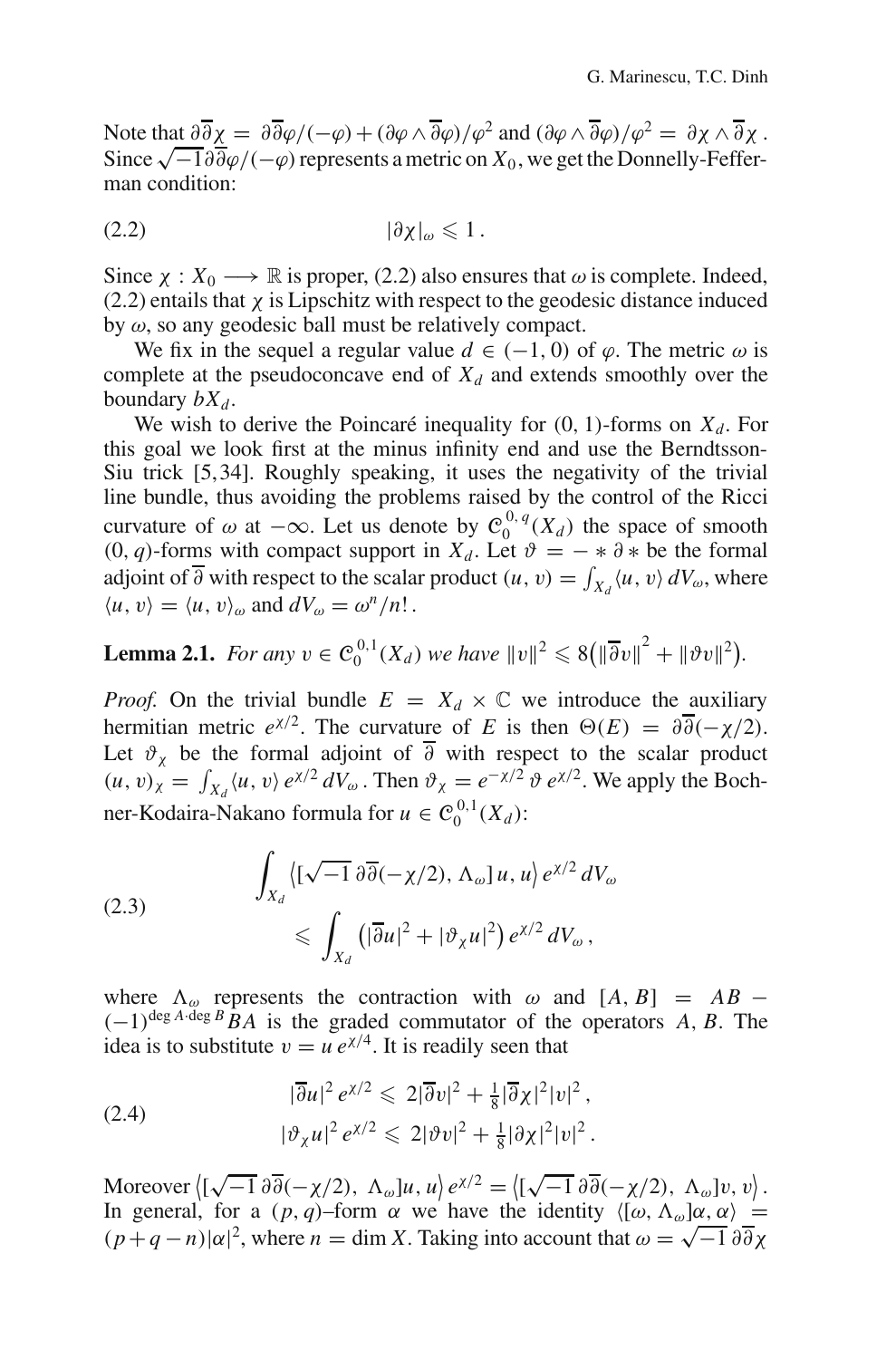Note that  $\partial \overline{\partial} \chi = \partial \overline{\partial} \varphi / (-\varphi) + (\partial \varphi \wedge \overline{\partial} \varphi) / \varphi^2$  and  $(\partial \varphi \wedge \overline{\partial} \varphi) / \varphi^2 = \partial \chi \wedge \overline{\partial} \chi$ . Since  $\sqrt{-1}\partial\overline{\partial}\varphi/(-\varphi)$  represents a metric on  $X_0$ , we get the Donnelly-Fefferman condition:

$$
(2.2) \t\t\t |\partial \chi|_{\omega} \leq 1.
$$

Since  $\chi: X_0 \longrightarrow \mathbb{R}$  is proper, (2.2) also ensures that  $\omega$  is complete. Indeed,  $(2.2)$  entails that  $\chi$  is Lipschitz with respect to the geodesic distance induced by  $\omega$ , so any geodesic ball must be relatively compact.

We fix in the sequel a regular value  $d \in (-1, 0)$  of  $\varphi$ . The metric  $\omega$  is complete at the pseudoconcave end of  $X_d$  and extends smoothly over the boundary  $bX_d$ .

We wish to derive the Poincaré inequality for  $(0, 1)$ -forms on  $X_d$ . For this goal we look first at the minus infinity end and use the Berndtsson-Siu trick [5,34]. Roughly speaking, it uses the negativity of the trivial line bundle, thus avoiding the problems raised by the control of the Ricci curvature of  $\omega$  at  $-\infty$ . Let us denote by  $C_0^{0,q}(X_d)$  the space of smooth (0, *q*)-forms with compact support in  $X_d$ . Let  $\vartheta = − * \vartheta *$  be the formal adjoint of  $\overline{\partial}$  with respect to the scalar product  $(u, v) = \int_{X_d} \langle u, v \rangle dV_\omega$ , where  $\langle u, v \rangle = \langle u, v \rangle_{\omega}$  and  $dV_{\omega} = \omega^n/n!$ .

**Lemma 2.1.** For any 
$$
v \in C_0^{0,1}(X_d)
$$
 we have  $||v||^2 \le 8(||\overline{\partial}v||^2 + ||\vartheta v||^2)$ .

*Proof.* On the trivial bundle  $E = X_d \times \mathbb{C}$  we introduce the auxiliary hermitian metric  $e^{x/2}$ . The curvature of *E* is then  $\Theta(E) = \partial \overline{\partial}(-\chi/2)$ . Let  $\vartheta_{\chi}$  be the formal adjoint of  $\partial$  with respect to the scalar product  $(u, v)_\chi = \int_{X_d} \langle u, v \rangle e^{\chi/2} dV_\omega$ . Then  $\vartheta_\chi = e^{-\chi/2} \vartheta e^{\chi/2}$ . We apply the Bochner-Kodaira-Nakano formula for  $u \in C_0^{0,1}(X_d)$ :

(2.3) 
$$
\int_{X_d} \left\{ [\sqrt{-1} \, \partial \overline{\partial} (-\chi/2), \Lambda_\omega] u, u \right\} e^{\chi/2} dV_\omega
$$

$$
\leqslant \int_{X_d} \left( |\overline{\partial} u|^2 + |\vartheta_\chi u|^2 \right) e^{\chi/2} dV_\omega,
$$

where  $\Lambda_{\omega}$  represents the contraction with  $\omega$  and  $[A, B] = AB (-1)^{\deg A \cdot \deg B}$  *BA* is the graded commutator of the operators *A*, *B*. The idea is to substitute  $v = u e^{\chi/4}$ . It is readily seen that

$$
(2.4) \qquad |\overline{\partial}u|^2 e^{\chi/2} \leq 2|\overline{\partial}v|^2 + \frac{1}{8}|\overline{\partial}\chi|^2|v|^2,
$$
\n
$$
|\vartheta_{\chi}u|^2 e^{\chi/2} \leq 2|\vartheta v|^2 + \frac{1}{8}|\partial\chi|^2|v|^2.
$$

Moreover  $\langle [\sqrt{-1} \, \partial \overline{\partial}(-\chi/2), \Lambda_{\omega}]u, u \rangle e^{\chi/2} = \langle [\sqrt{-1} \, \partial \overline{\partial}(-\chi/2), \Lambda_{\omega}]v, v \rangle$ . In general, for a  $(p, q)$ –form  $\alpha$  we have the identity  $\langle [\omega, \Lambda_{\omega}] \alpha, \alpha \rangle =$ (*p*+*q* −*n*)|α|<sup>2</sup>, where *n* = dim *X*. Taking into account that  $ω = \sqrt{-1} \frac{\partial}{\partial x}$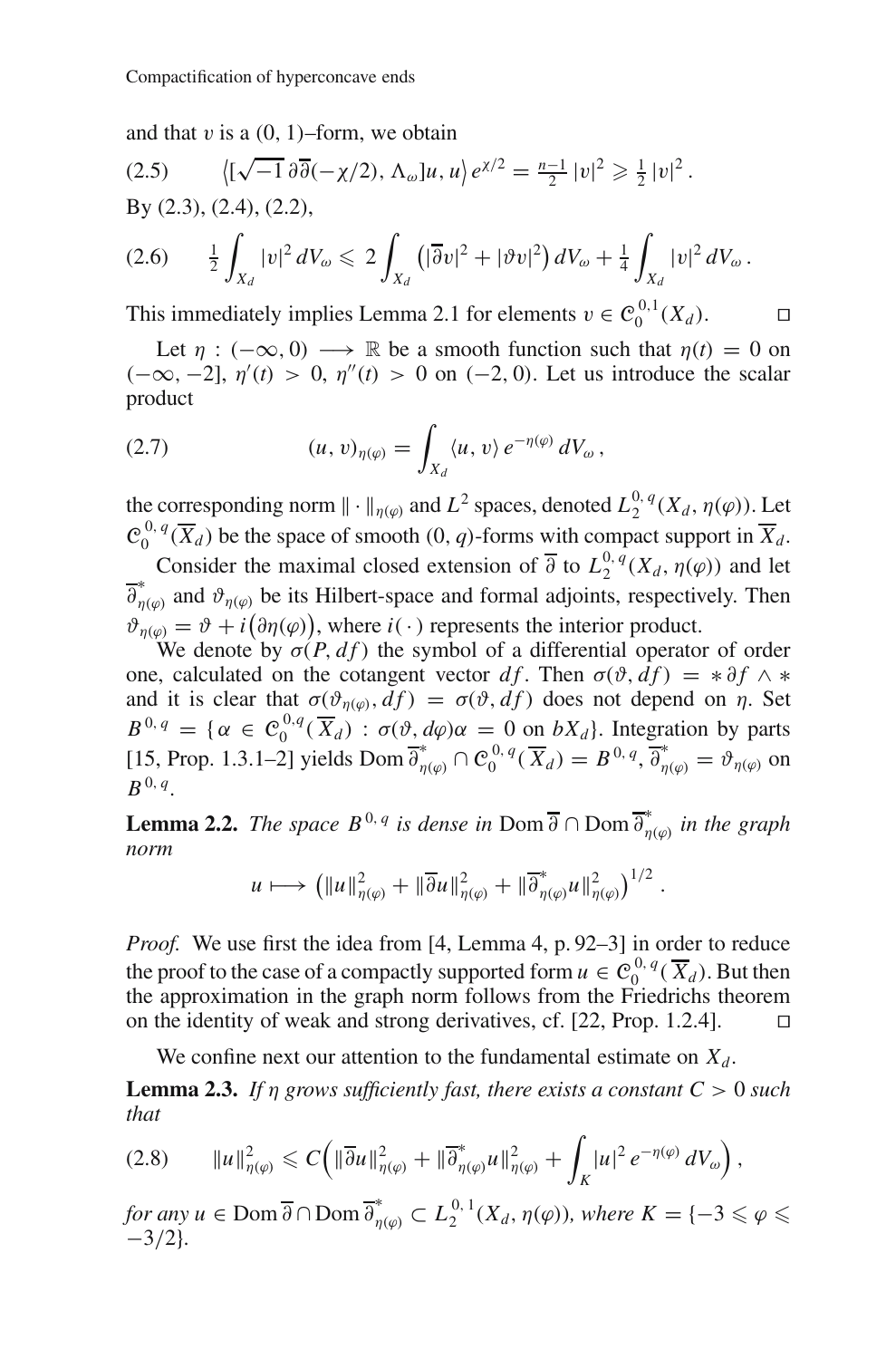and that  $v$  is a  $(0, 1)$ –form, we obtain

(2.5) 
$$
\langle [\sqrt{-1} \, \partial \overline{\partial}(-\chi/2), \Lambda_{\omega}]u, u \rangle e^{\chi/2} = \frac{n-1}{2} |v|^2 \ge \frac{1}{2} |v|^2.
$$
  
By (2.3), (2.4), (2.2),

$$
(2.6) \t \frac{1}{2} \int_{X_d} |v|^2 dV_{\omega} \leq 2 \int_{X_d} (|\overline{\partial} v|^2 + |\partial v|^2) dV_{\omega} + \frac{1}{4} \int_{X_d} |v|^2 dV_{\omega}.
$$

This immediately implies Lemma 2.1 for elements  $v \in C_0^{0,1}(X_d)$ .

Let  $\eta$  : ( $-\infty$ , 0)  $\longrightarrow \mathbb{R}$  be a smooth function such that  $\eta(t) = 0$  on  $(-\infty, -2]$ ,  $\eta'(t) > 0$ ,  $\eta''(t) > 0$  on  $(-2, 0)$ . Let us introduce the scalar product

(2.7) 
$$
(u, v)_{\eta(\varphi)} = \int_{X_d} \langle u, v \rangle e^{-\eta(\varphi)} dV_{\omega},
$$

the corresponding norm  $\|\cdot\|_{\eta(\varphi)}$  and  $L^2$  spaces, denoted  $L_2^{0,q}(X_d, \eta(\varphi))$ . Let  $\mathcal{C}_0^{0,q}(\overline{X}_d)$  be the space of smooth  $(0, q)$ -forms with compact support in  $\overline{X}_d$ .

Consider the maximal closed extension of  $\overline{\partial}$  to  $L_2^{0,q}(X_d,\eta(\varphi))$  and let  $\overline{\partial}_{\eta(\varphi)}^*$  and  $\vartheta_{\eta(\varphi)}$  be its Hilbert-space and formal adjoints, respectively. Then  $\vartheta_{\eta(\varphi)} = \vartheta + i(\vartheta \eta(\varphi))$ , where  $i(\cdot)$  represents the interior product.

We denote by  $\sigma(P, df)$  the symbol of a differential operator of order one, calculated on the cotangent vector  $df$ . Then  $\sigma(\vartheta, d f) = * \partial f \wedge *$ and it is clear that  $\sigma(\vartheta_{\eta(\varphi)}, df) = \sigma(\vartheta, df)$  does not depend on  $\eta$ . Set  $B^{0,q} = \{ \alpha \in C_0^{0,q}(\overline{X}_d) : \sigma(\vartheta, d\varphi) \alpha = 0 \text{ on } bX_d \}.$  Integration by parts [15, Prop. 1.3.1–2] yields Dom  $\overline{\partial}_{\eta(\varphi)}^* \cap C_0^{0,q}(\overline{X}_d) = B^{0,q}, \overline{\partial}_{\eta(\varphi)}^* = \vartheta_{\eta(\varphi)}$  on  $B^{0, q}$ .

**Lemma 2.2.** *The space*  $B^{0,q}$  *is dense in* Dom  $\overline{\partial} \cap \text{Dom } \overline{\partial}_{\eta(\varphi)}^*$  *in the graph norm*

$$
u\longmapsto \left(\|u\|_{\eta(\varphi)}^2+\|\overline{\partial}u\|_{\eta(\varphi)}^2+\|\overline{\partial}^*_{\eta(\varphi)}u\|_{\eta(\varphi)}^2\right)^{1/2}.
$$

*Proof.* We use first the idea from [4, Lemma 4, p. 92–3] in order to reduce the proof to the case of a compactly supported form  $u \in C_0^{0,q}(\overline{X}_d)$ . But then the approximation in the graph norm follows from the Friedrichs theorem on the identity of weak and strong derivatives, cf.  $[22, Prop. 1.2.4]$ .  $\square$ 

We confine next our attention to the fundamental estimate on  $X_d$ .

**Lemma 2.3.** *If*  $\eta$  *grows sufficiently fast, there exists a constant*  $C > 0$  *such that*

$$
(2.8) \qquad \|u\|_{\eta(\varphi)}^2 \leqslant C\Big(\|\overline{\partial}u\|_{\eta(\varphi)}^2 + \|\overline{\partial}_{\eta(\varphi)}^*u\|_{\eta(\varphi)}^2 + \int_K |u|^2 e^{-\eta(\varphi)}\,dV_\omega\Big)\,,
$$

*for any u* ∈ Dom  $\overline{\partial}$  ∩ Dom  $\overline{\partial}_{\eta(\varphi)}^* \subset L_2^{0,1}(X_d, \eta(\varphi))$ *, where K* = { $-3 \leq \varphi \leq$ −3/2}*.*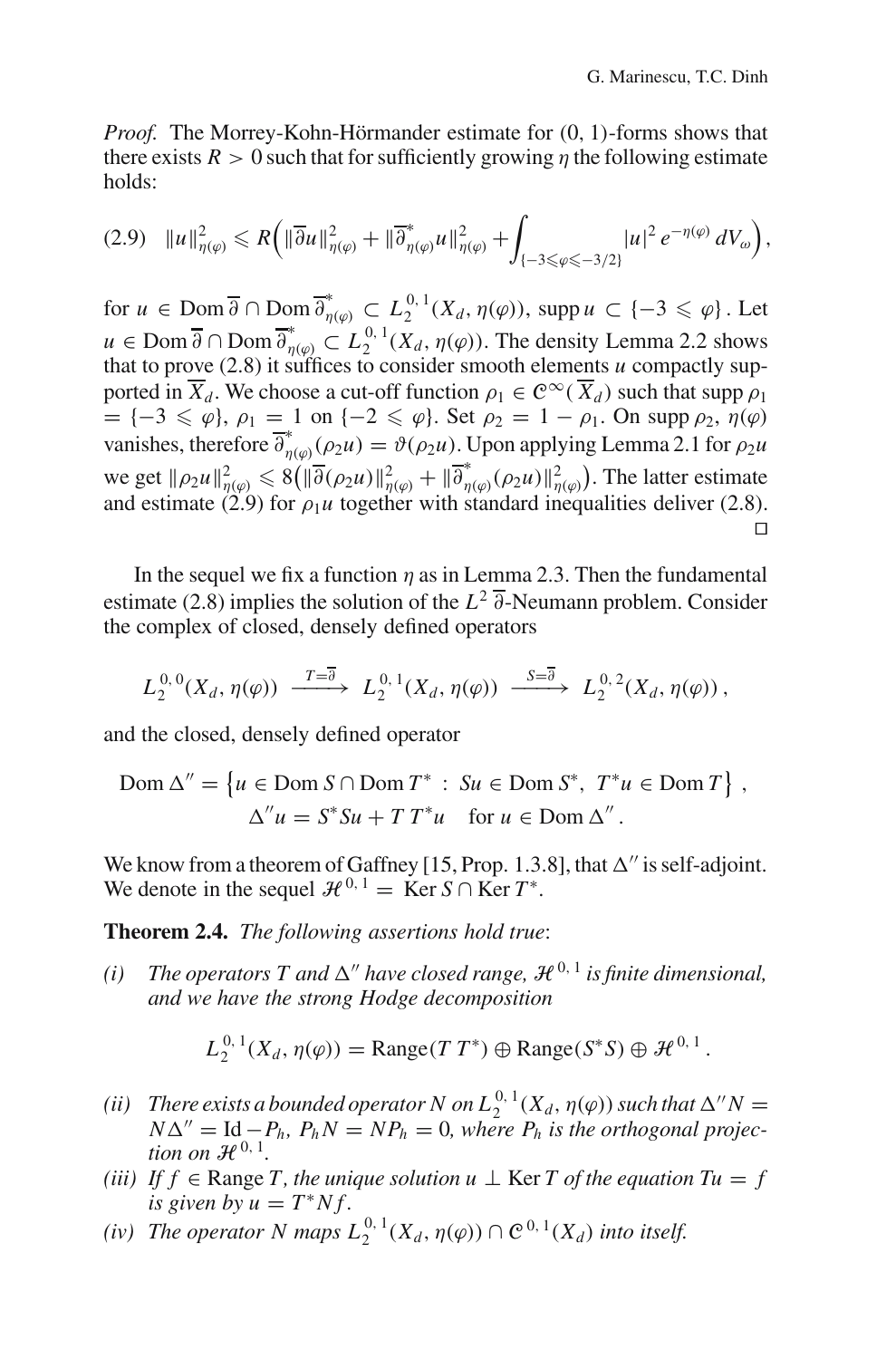*Proof.* The Morrey-Kohn-Hörmander estimate for (0, 1)-forms shows that there exists  $R > 0$  such that for sufficiently growing  $\eta$  the following estimate holds:

$$
(2.9) \quad \|u\|_{\eta(\varphi)}^2 \leq R\left(\|\overline{\partial}u\|_{\eta(\varphi)}^2 + \|\overline{\partial}_{\eta(\varphi)}^*u\|_{\eta(\varphi)}^2 + \int_{\{-3\leq \varphi \leq -3/2\}} |u|^2 e^{-\eta(\varphi)} dV_{\omega}\right),
$$

for  $u \in \text{Dom } \overline{\partial} \cap \text{Dom } \overline{\partial}_{\eta(\varphi)}^* \subset L_2^{0,1}(X_d, \eta(\varphi)), \text{ supp } u \subset \{-3 \leqslant \varphi\}$ . Let  $u \in \text{Dom } \overline{\partial} \cap \text{Dom } \overline{\partial}_{\eta(\varphi)}^* \subset L_2^{0,1}(X_d, \eta(\varphi))$ . The density Lemma 2.2 shows that to prove (2.8) it suffices to consider smooth elements *u* compactly supported in  $\overline{X}_d$ . We choose a cut-off function  $\rho_1 \in C^\infty(\overline{X}_d)$  such that supp  $\rho_1$  $= \{-3 \leq \varphi\}, \rho_1 = 1 \text{ on } \{-2 \leq \varphi\}.$  Set  $\rho_2 = 1 - \rho_1$ . On supp  $\rho_2$ ,  $\eta(\varphi)$ vanishes, therefore  $\overline{\partial}_{\eta(\varphi)}^*(\rho_2 u) = \vartheta(\rho_2 u)$ . Upon applying Lemma 2.1 for  $\rho_2 u$ we get  $\|\rho_2 u\|_{\eta(\varphi)}^2 \leq 8(\|\overline{\partial}(\rho_2 u)\|_{\eta(\varphi)}^2 + \|\overline{\partial}_{\eta(\varphi)}^*(\rho_2 u)\|_{\eta(\varphi)}^2)$ . The latter estimate and estimate (2.9) for  $\rho_1 u$  together with standard inequalities deliver (2.8).  $\Box$ 

In the sequel we fix a function  $\eta$  as in Lemma 2.3. Then the fundamental estimate (2.8) implies the solution of the *L*<sup>2</sup> ∂-Neumann problem. Consider the complex of closed, densely defined operators

$$
L_2^{0,0}(X_d,\eta(\varphi)) \xrightarrow{T=\overline{\partial}} L_2^{0,1}(X_d,\eta(\varphi)) \xrightarrow{S=\overline{\partial}} L_2^{0,2}(X_d,\eta(\varphi)),
$$

and the closed, densely defined operator

$$
\text{Dom }\Delta'' = \{ u \in \text{Dom } S \cap \text{Dom } T^* : S u \in \text{Dom } S^*, \ T^* u \in \text{Dom } T \},
$$
  

$$
\Delta'' u = S^* S u + T T^* u \quad \text{for } u \in \text{Dom } \Delta''.
$$

We know from a theorem of Gaffney [15, Prop. 1.3.8], that  $\Delta''$  is self-adjoint. We denote in the sequel  $\mathcal{H}^{0,1} = \text{Ker } S \cap \text{Ker } T^*$ .

**Theorem 2.4.** *The following assertions hold true*:

*(i)* The operators T and  $\Delta''$  have closed range,  $\mathcal{H}^{0,1}$  is finite dimensional, *and we have the strong Hodge decomposition*

$$
L_2^{0,1}(X_d,\eta(\varphi)) = \text{Range}(TT^*) \oplus \text{Range}(S^*S) \oplus \mathcal{H}^{0,1}.
$$

- (*ii*) There exists a bounded operator N on  $L_2^{0,1}(X_d,\eta(\varphi))$  such that  $\Delta''N=$  $N\Delta'' = \text{Id} - P_h$ ,  $P_h N = NP_h = 0$ , where  $P_h$  *is the orthogonal projection on*  $\mathcal{H}^{0,1}$ *.*
- *(iii)* If  $f \in \text{Range } T$ , the unique solution  $u \perp \text{Ker } T$  of the equation  $Tu = f$ *is given by*  $u = T^*Nf$ .
- (*iv*) The operator N maps  $L_2^{0,1}(X_d,\eta(\varphi)) \cap \mathcal{C}^{0,1}(X_d)$  into itself.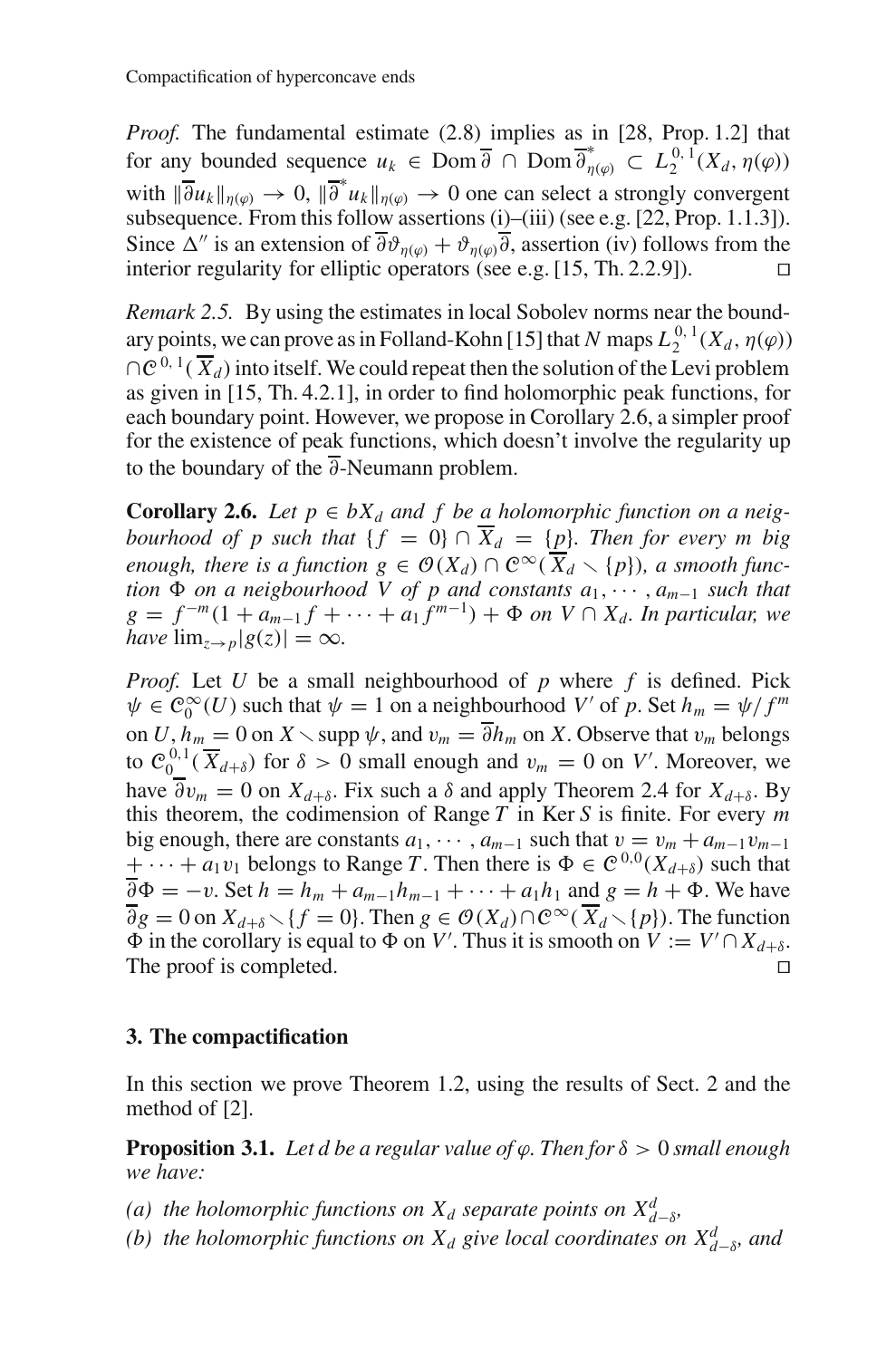*Proof.* The fundamental estimate (2.8) implies as in [28, Prop. 1.2] that for any bounded sequence  $u_k \in \text{Dom } \overline{\partial} \cap \text{Dom } \overline{\partial}_{\eta(\varphi)}^* \subset L_2^{0,1}(X_d, \eta(\varphi))$ with  $\|\overline{\partial} u_k\|_{\eta(\varphi)} \to 0$ ,  $\|\overline{\partial}^* u_k\|_{\eta(\varphi)} \to 0$  one can select a strongly convergent subsequence. From this follow assertions (i)–(iii) (see e.g. [22, Prop. 1.1.3]). Since  $\Delta''$  is an extension of  $\overline{\partial}\vartheta_{n(\varphi)} + \vartheta_{n(\varphi)}\overline{\partial}$ , assertion (iv) follows from the interior regularity for elliptic operators (see e.g. [15, Th. 2.2.9]).

*Remark 2.5.* By using the estimates in local Sobolev norms near the boundary points, we can prove as in Folland-Kohn [15] that *N* maps  $L_2^{0,1}(X_d, \eta(\varphi))$  $\bigcap \mathcal{C}^{0,1}(\overline{X}_d)$  into itself. We could repeat then the solution of the Levi problem as given in [15, Th. 4.2.1], in order to find holomorphic peak functions, for each boundary point. However, we propose in Corollary 2.6, a simpler proof for the existence of peak functions, which doesn't involve the regularity up to the boundary of the  $\overline{\partial}$ -Neumann problem.

**Corollary 2.6.** *Let*  $p \in bX_d$  *and*  $f$  *be a holomorphic function on a neigbourhood of p such that*  $\{f = 0\} \cap \overline{X}_d = \{p\}$ *. Then for every m big enough, there is a function*  $g \in \mathcal{O}(X_d) \cap C^\infty(\overline{X}_d \setminus \{p\})$ *, a smooth function* Φ *on a neigbourhood V of p and constants a*1,··· , *am*<sup>−</sup><sup>1</sup> *such that g* =  $f^{-m}(1 + a_{m-1}f + \cdots + a_1f^{m-1}) + ∅$  *on V* ∩  $X_d$ . In particular, we *have*  $\lim_{z\to p}|g(z)|=\infty$ *.* 

*Proof.* Let *U* be a small neighbourhood of *p* where *f* is defined. Pick  $\psi \in C_0^{\infty}(U)$  such that  $\psi = 1$  on a neighbourhood *V'* of *p*. Set  $h_m = \psi/f^m$ on *U*,  $h_m = 0$  on *X*  $\setminus$  supp  $\psi$ , and  $v_m = \overline{\partial} h_m$  on *X*. Observe that  $v_m$  belongs to  $C_0^{0,1}(\overline{X}_{d+\delta})$  for  $\delta > 0$  small enough and  $v_m = 0$  on V'. Moreover, we have  $\overline{\partial}v_m = 0$  on  $X_{d+\delta}$ . Fix such a  $\delta$  and apply Theorem 2.4 for  $X_{d+\delta}$ . By this theorem, the codimension of Range *T* in Ker *S* is finite. For every *m* big enough, there are constants  $a_1, \dots, a_{m-1}$  such that  $v = v_m + a_{m-1}v_{m-1}$  $+\cdots+a_1v_1$  belongs to Range *T*. Then there is  $\Phi \in \mathcal{C}^{0,0}(X_{d+\delta})$  such that  $\overline{\partial}\Phi = -v$ . Set  $h = h_m + a_{m-1}h_{m-1} + \cdots + a_1h_1$  and  $g = h + \Phi$ . We have  $\overline{\partial}g = 0$  on  $X_{d+\delta} \setminus \{f = 0\}$ . Then  $g \in \mathcal{O}(X_d) \cap \mathcal{C}^{\infty}(\overline{X}_d \setminus \{p\})$ . The function  $\Phi$  in the corollary is equal to  $\Phi$  on *V*'. Thus it is smooth on  $V := V' \cap X_{d+\delta}$ . The proof is completed.

# **3. The compactification**

In this section we prove Theorem 1.2, using the results of Sect. 2 and the method of [2].

**Proposition 3.1.** *Let d be a regular value of*  $\varphi$ *. Then for*  $\delta > 0$  *small enough we have:*

- *(a) the holomorphic functions on*  $X_d$  *separate points on*  $X_{d-\delta}^d$ *,*
- *(b) the holomorphic functions on*  $X_d$  *give local coordinates on*  $X_{d-\delta}^d$ *, and*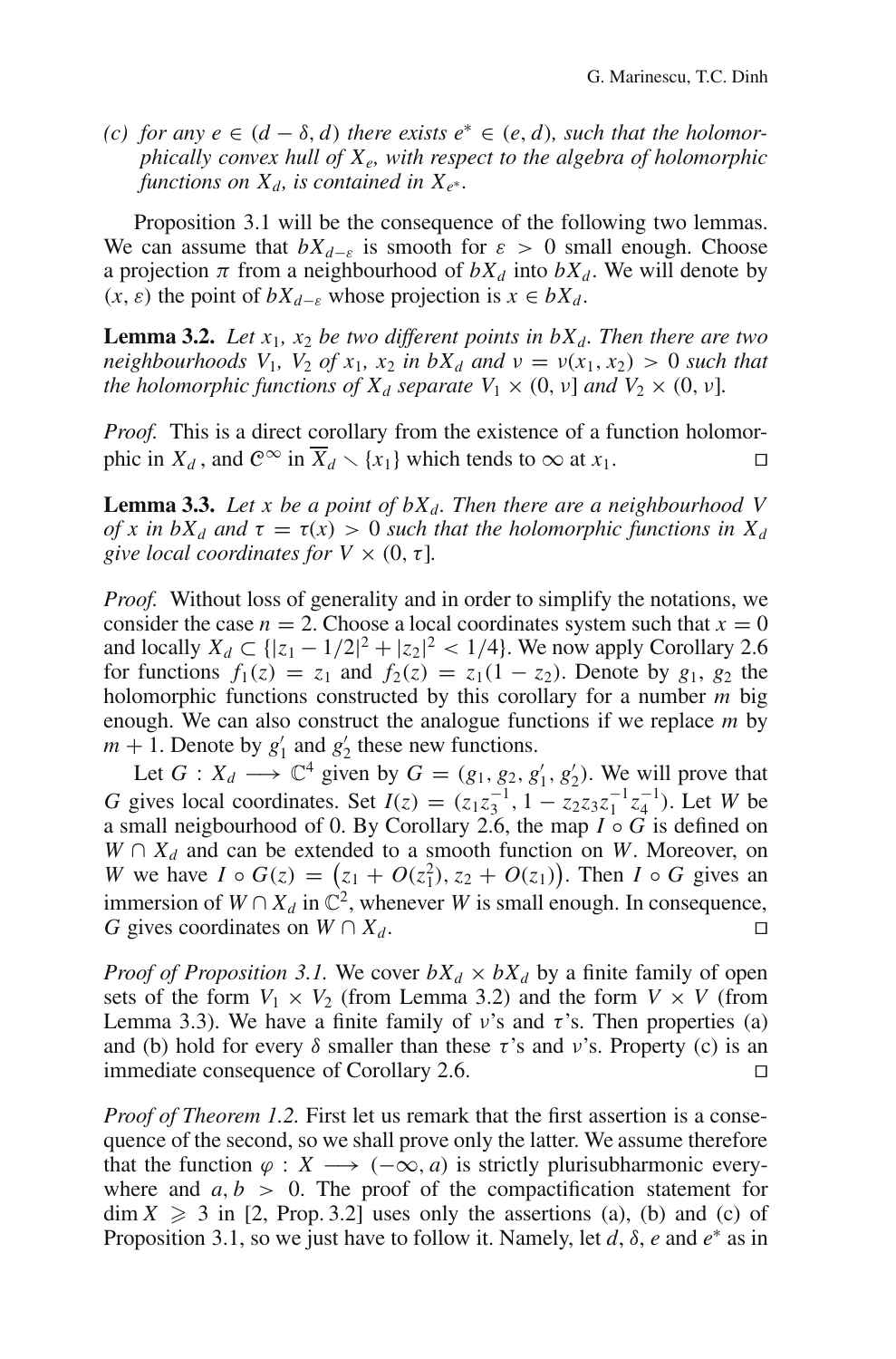$(c)$  *for any e* ∈  $(d - \delta, d)$  *there exists e*<sup>\*</sup> ∈  $(e, d)$ *, such that the holomorphically convex hull of Xe, with respect to the algebra of holomorphic functions on*  $X_d$ , *is contained in*  $X_{e^*}$ *.* 

Proposition 3.1 will be the consequence of the following two lemmas. We can assume that  $bX_{d-\varepsilon}$  is smooth for  $\varepsilon > 0$  small enough. Choose a projection  $\pi$  from a neighbourhood of  $bX_d$  into  $bX_d$ . We will denote by  $(x, \varepsilon)$  the point of  $bX_{d-\varepsilon}$  whose projection is  $x \in bX_d$ .

**Lemma 3.2.** Let  $x_1$ ,  $x_2$  be two different points in  $bX_d$ . Then there are two *neighbourhoods*  $V_1$ ,  $V_2$  *of*  $x_1$ ,  $x_2$  *in*  $bX_d$  *and*  $v = v(x_1, x_2) > 0$  *such that the holomorphic functions of*  $X_d$  *separate*  $V_1 \times (0, v)$  *and*  $V_2 \times (0, v)$ *.* 

*Proof.* This is a direct corollary from the existence of a function holomorphic in  $X_d$ , and  $\mathbb{C}^{\infty}$  in  $\overline{X}_d \setminus \{x_1\}$  which tends to  $\infty$  at  $x_1$ .

**Lemma 3.3.** Let x be a point of  $bX_d$ . Then there are a neighbourhood V *of x in bX<sub>d</sub> and*  $\tau = \tau(x) > 0$  *such that the holomorphic functions in*  $X_d$ *give local coordinates for*  $V \times (0, \tau]$ *.* 

*Proof.* Without loss of generality and in order to simplify the notations, we consider the case  $n = 2$ . Choose a local coordinates system such that  $x = 0$ and locally *X<sub>d</sub>* ⊂ { $|z_1 - 1/2|^2 + |z_2|^2 < 1/4$ }. We now apply Corollary 2.6 for functions  $f_1(z) = z_1$  and  $f_2(z) = z_1(1 - z_2)$ . Denote by  $g_1$ ,  $g_2$  the holomorphic functions constructed by this corollary for a number *m* big enough. We can also construct the analogue functions if we replace *m* by  $m + 1$ . Denote by  $g'_1$  and  $g'_2$  these new functions.

Let  $G: X_d \longrightarrow \mathbb{C}^4$  given by  $G = (g_1, g_2, g'_1, g'_2)$ . We will prove that *G* gives local coordinates. Set  $I(z) = (z_1 z_3^{-1}, 1 - z_2 z_3 z_1^{-1} z_4^{-1})$ . Let *W* be a small neigbourhood of 0. By Corollary 2.6, the map *I* ◦ *G* is defined on  $W \cap X_d$  and can be extended to a smooth function on *W*. Moreover, on *W* we have  $I \circ G(z) = (z_1 + O(z_1^2), z_2 + O(z_1)).$  Then  $I \circ G$  gives an immersion of  $W \cap X_d$  in  $\mathbb{C}^2$ , whenever *W* is small enough. In consequence, *G* gives coordinates on  $W \cap X_d$ .

*Proof of Proposition 3.1.* We cover  $bX_d \times bX_d$  by a finite family of open sets of the form  $V_1 \times V_2$  (from Lemma 3.2) and the form  $V \times V$  (from Lemma 3.3). We have a finite family of  $v$ 's and  $\tau$ 's. Then properties (a) and (b) hold for every  $\delta$  smaller than these  $\tau$ 's and v's. Property (c) is an immediate consequence of Corollary 2.6.

*Proof of Theorem 1.2.* First let us remark that the first assertion is a consequence of the second, so we shall prove only the latter. We assume therefore that the function  $\varphi : X \longrightarrow (-\infty, a)$  is strictly plurisubharmonic everywhere and  $a, b > 0$ . The proof of the compactification statement for  $\dim X \geqslant 3$  in [2, Prop. 3.2] uses only the assertions (a), (b) and (c) of Proposition 3.1, so we just have to follow it. Namely, let *d*, δ, *e* and *e*<sup>∗</sup> as in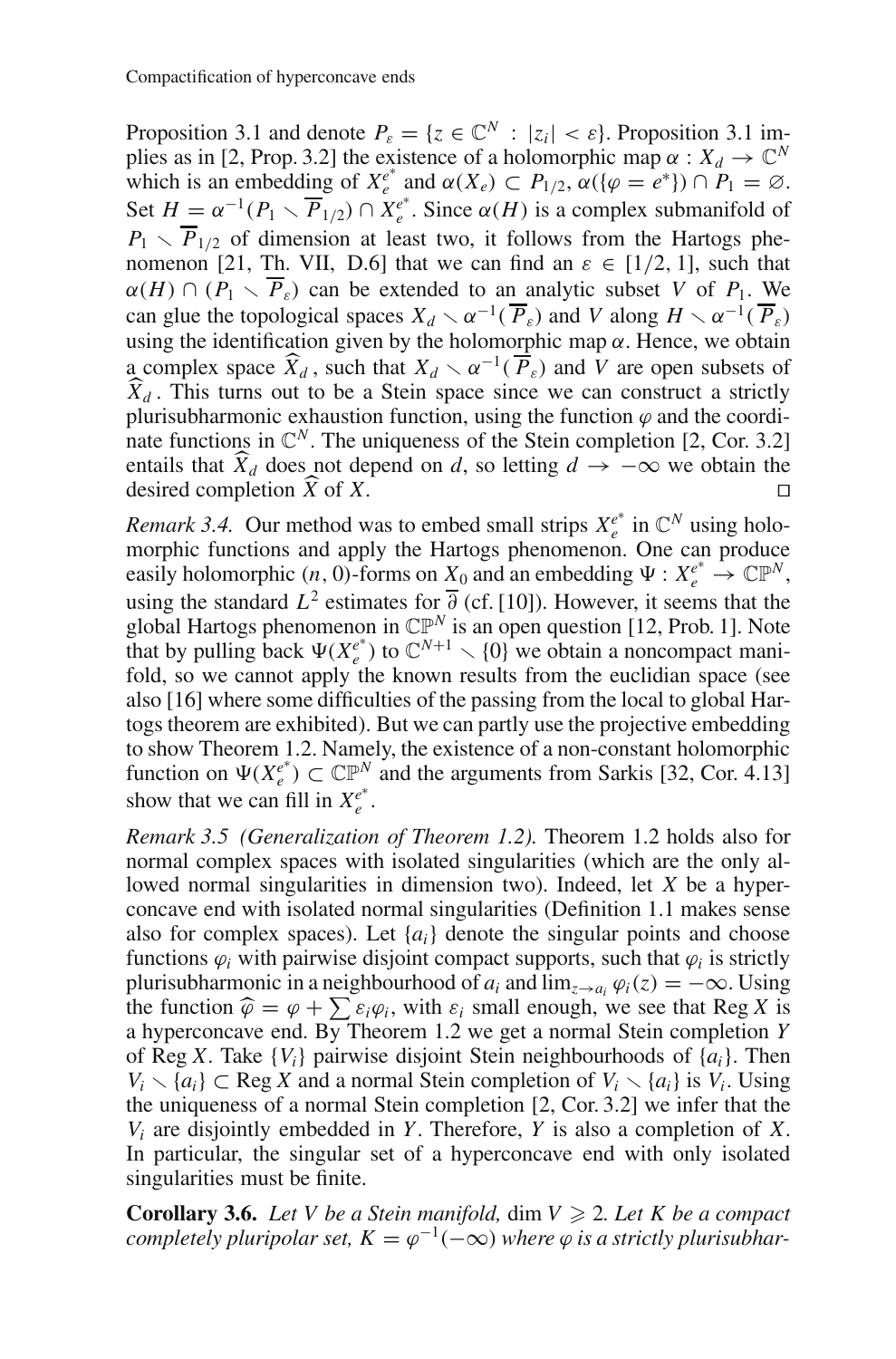Proposition 3.1 and denote  $P_{\varepsilon} = \{z \in \mathbb{C}^N : |z_i| < \varepsilon\}$ . Proposition 3.1 implies as in [2, Prop. 3.2] the existence of a holomorphic map  $\alpha : X_d \to \mathbb{C}^N$ which is an embedding of  $X_e^{e^*}$  and  $\alpha(X_e) \subset P_{1/2}$ ,  $\alpha(\{\varphi = e^*\}) \cap P_1 = \emptyset$ . Set  $H = \alpha^{-1}(P_1 \setminus \overline{P}_{1/2}) \cap X_e^{e^*}$ . Since  $\alpha(H)$  is a complex submanifold of  $P_1 \setminus \overline{P}_{1/2}$  of dimension at least two, it follows from the Hartogs phenomenon [21, Th. VII, D.6] that we can find an  $\varepsilon \in [1/2, 1]$ , such that  $\alpha(H) \cap (P_1 \setminus \overline{P}_\varepsilon)$  can be extended to an analytic subset *V* of  $P_1$ . We can glue the topological spaces  $X_d \sim \alpha^{-1}(\overline{P}_{\varepsilon})$  and *V* along  $H \sim \alpha^{-1}(\overline{P}_{\varepsilon})$ using the identification given by the holomorphic map  $\alpha$ . Hence, we obtain a complex space  $\widehat{X}_d$ , such that  $X_d \sim \alpha^{-1}(\overline{P}_\varepsilon)$  and *V* are open subsets of  $\widehat{X}_d$ . This turns out to be a Stein space since we can construct a strictly  $\overline{X}_d$ . This turns out to be a Stein space since we can construct a strictly purisubharmonic expansion function using the function  $\alpha$  and the coordiplurisubharmonic exhaustion function, using the function  $\varphi$  and the coordinate functions in  $\mathbb{C}^N$ . The uniqueness of the Stein completion [2, Cor. 3.2] entails that  $\overline{X}_d$  does not depend on *d*, so letting  $d \to -\infty$  we obtain the desired completion  $\widehat{X}$  of  $X$ desired completion  $\widehat{X}$  of  $X$ .  $\overline{X}$  of  $\overline{X}$ .

*Remark 3.4.* Our method was to embed small strips  $X_e^{e^*}$  in  $\mathbb{C}^N$  using holomorphic functions and apply the Hartogs phenomenon. One can produce easily holomorphic  $(n, 0)$ -forms on  $X_0$  and an embedding  $\Psi : X_e^{e^*} \to \mathbb{CP}^N$ , using the standard  $L^2$  estimates for  $\overline{\partial}$  (cf. [10]). However, it seems that the global Hartogs phenomenon in  $\mathbb{CP}^N$  is an open question [12, Prob. 1]. Note that by pulling back  $\Psi(X_e^{e^*})$  to  $\mathbb{C}^{N+1} \setminus \{0\}$  we obtain a noncompact manifold, so we cannot apply the known results from the euclidian space (see also [16] where some difficulties of the passing from the local to global Hartogs theorem are exhibited). But we can partly use the projective embedding to show Theorem 1.2. Namely, the existence of a non-constant holomorphic function on  $\Psi(X_e^{e^*}) \subset \mathbb{CP}^N$  and the arguments from Sarkis [32, Cor. 4.13] show that we can fill in  $X_e^{e^*}$ .

*Remark 3.5 (Generalization of Theorem 1.2).* Theorem 1.2 holds also for normal complex spaces with isolated singularities (which are the only allowed normal singularities in dimension two). Indeed, let *X* be a hyperconcave end with isolated normal singularities (Definition 1.1 makes sense also for complex spaces). Let  $\{a_i\}$  denote the singular points and choose functions  $\varphi_i$  with pairwise disjoint compact supports, such that  $\varphi_i$  is strictly plurisubharmonic in a neighbourhood of  $a_i$  and  $\lim_{z\to a_i} \varphi_i(z) = -\infty$ . Using the function  $\hat{\varphi} = \varphi + \sum \varepsilon_i \varphi_i$ , with  $\varepsilon_i$  small enough, we see that Reg *X* is a hyperconcave end. By Theorem 1.2 we get a normal Stein completion *Y* of Reg *X*. Take {*Vi*} pairwise disjoint Stein neighbourhoods of {*ai*}. Then *V<sub>i</sub>*  $\setminus$  {*a<sub>i</sub>*} ⊂ Reg *X* and a normal Stein completion of *V<sub>i</sub>*  $\setminus$  {*a<sub>i</sub>*} is *V<sub>i</sub>*. Using the uniqueness of a normal Stein completion [2, Cor. 3.2] we infer that the *Vi* are disjointly embedded in *Y*. Therefore, *Y* is also a completion of *X*. In particular, the singular set of a hyperconcave end with only isolated singularities must be finite.

**Corollary 3.6.** *Let V be a Stein manifold,* dim  $V \ge 2$ *. Let K be a compact completely pluripolar set,*  $K = \varphi^{-1}(-\infty)$  *where*  $\varphi$  *is a strictly plurisubhar-*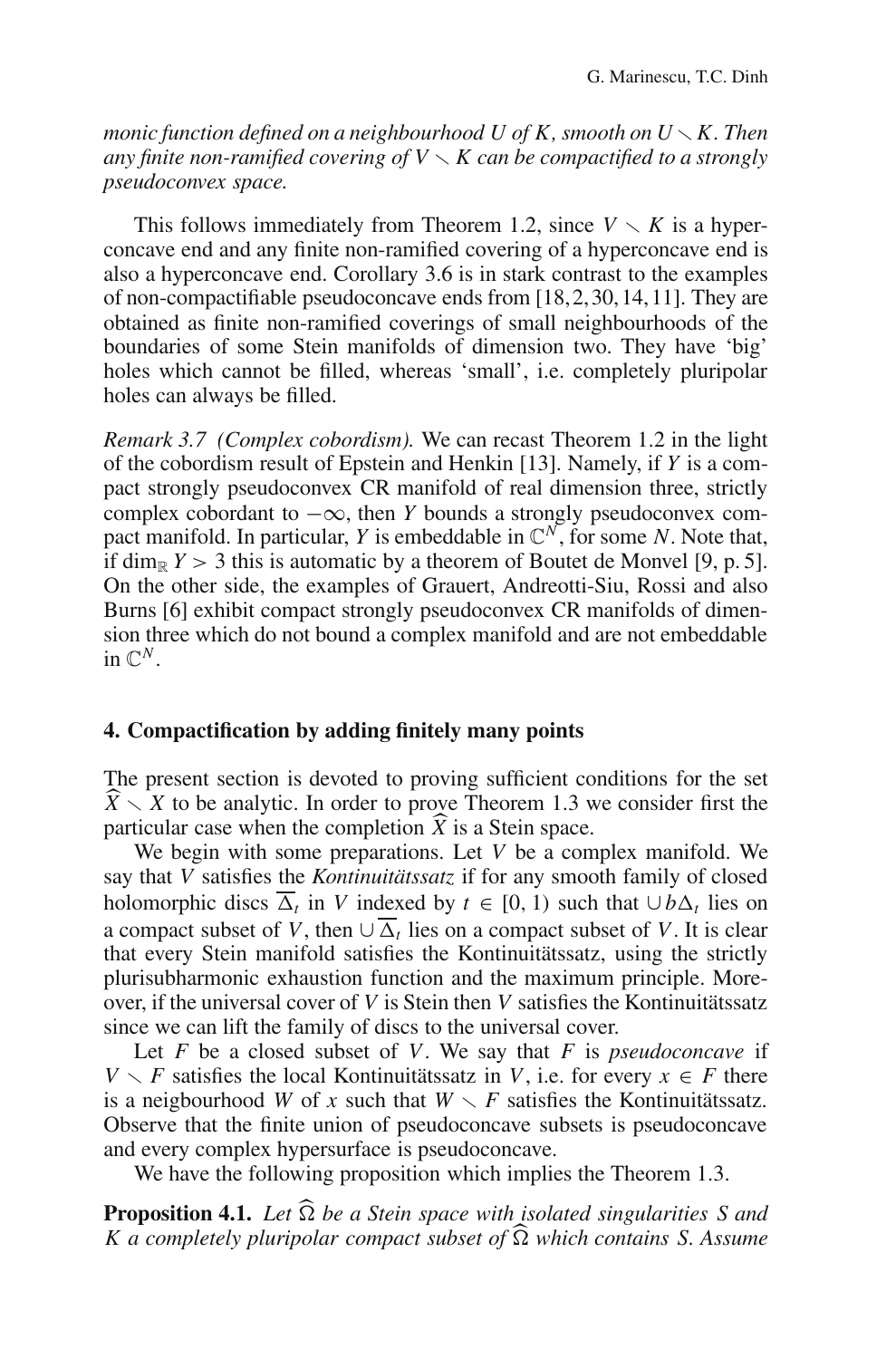*monic function defined on a neighbourhood U of K, smooth on*  $U \setminus K$ *. Then any finite non-ramified covering of V*  $\times$  *K can be compactified to a strongly pseudoconvex space.*

This follows immediately from Theorem 1.2, since  $V \setminus K$  is a hyperconcave end and any finite non-ramified covering of a hyperconcave end is also a hyperconcave end. Corollary 3.6 is in stark contrast to the examples of non-compactifiable pseudoconcave ends from [18,2,30,14,11]. They are obtained as finite non-ramified coverings of small neighbourhoods of the boundaries of some Stein manifolds of dimension two. They have 'big' holes which cannot be filled, whereas 'small', i.e. completely pluripolar holes can always be filled.

*Remark 3.7 (Complex cobordism).* We can recast Theorem 1.2 in the light of the cobordism result of Epstein and Henkin [13]. Namely, if *Y* is a compact strongly pseudoconvex CR manifold of real dimension three, strictly complex cobordant to  $-\infty$ , then *Y* bounds a strongly pseudoconvex compact manifold. In particular, *Y* is embeddable in  $\mathbb{C}^N$ , for some *N*. Note that, if dim<sub>R</sub>  $Y > 3$  this is automatic by a theorem of Boutet de Monvel [9, p. 5]. On the other side, the examples of Grauert, Andreotti-Siu, Rossi and also Burns [6] exhibit compact strongly pseudoconvex CR manifolds of dimension three which do not bound a complex manifold and are not embeddable in  $\mathbb{C}^N$ .

#### **4. Compactification by adding finitely many points**

The present section is devoted to proving sufficient conditions for the set  $\hat{X} \setminus X$  to be analytic. In order to prove Theorem 1.3 we consider first the particular case when the completion  $\hat{X}$  is a Stein space particular case when the completion  $\overline{X}$  is a Stein space.<br>We begin with some preparations Let  $V$  be a com-

We begin with some preparations. Let *V* be a complex manifold. We say that *V* satisfies the *Kontinuitätssatz* if for any smooth family of closed holomorphic discs  $\overline{\Delta}_t$  in *V* indexed by  $t \in [0, 1)$  such that  $\cup b\Delta_t$  lies on a compact subset of *V*, then  $\cup \overline{\Delta}_t$  lies on a compact subset of *V*. It is clear that every Stein manifold satisfies the Kontinuitätssatz, using the strictly plurisubharmonic exhaustion function and the maximum principle. Moreover, if the universal cover of *V* is Stein then *V* satisfies the Kontinuitätssatz since we can lift the family of discs to the universal cover.

Let *F* be a closed subset of *V*. We say that *F* is *pseudoconcave* if *V*  $\setminus$  *F* satisfies the local Kontinuitätssatz in *V*, i.e. for every *x*  $\in$  *F* there is a neigbourhood *W* of *x* such that  $W \setminus F$  satisfies the Kontinuitäts satz. Observe that the finite union of pseudoconcave subsets is pseudoconcave and every complex hypersurface is pseudoconcave.

We have the following proposition which implies the Theorem 1.3.

**Proposition 4.1.** *Let* <sup>Ω</sup> *be a Stein space with isolated singularities S and K a completely pluripolar compact subset of* <sup>Ω</sup> *which contains S. Assume*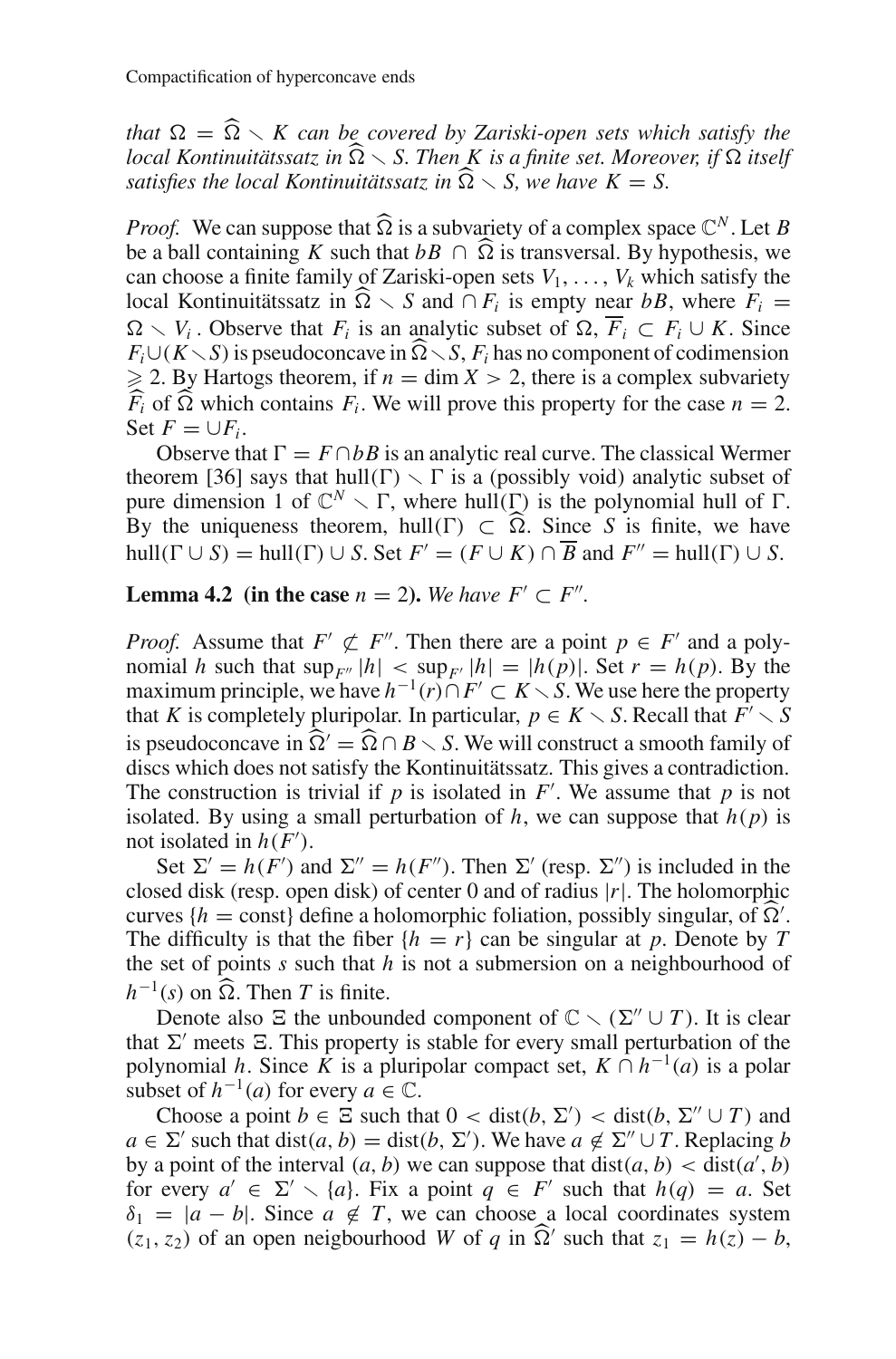*that*  $\Omega = \widehat{\Omega} \setminus K$  *can be covered by Zariski-open sets which satisfy the local Kontinuitätssatz in*  $\widehat{\Omega}$  *S. Then K is a finite set. Moreover, if* Ω *itself satisfies the local Kontinuitätssatz in*  $\widehat{\Omega} \setminus S$ , we have  $K = S$ .

*Proof.* We can suppose that  $\widehat{\Omega}$  is a subvariety of a complex space  $\mathbb{C}^N$ . Let *B* be a ball containing *K* such that  $bB \cap \overline{\Omega}$  is transversal. By hypothesis, we can choose a finite family of Zariski-open sets  $V_1, \ldots, V_k$  which satisfy the local Kontinuitätssatz in  $\widehat{\Omega} \setminus S$  and  $\cap F_i$  is empty near *bB*, where  $F_i =$  $\Omega \setminus V_i$ . Observe that  $F_i$  is an analytic subset of  $\Omega$ ,  $\overline{F}_i \subset F_i \cup K$ . Since  $F_i \cup (K \setminus S)$  is pseudoconcave in  $\widehat{\Omega} \setminus S$ ,  $F_i$  has no component of codimension  $\geq$  2. By Hartogs theorem, if  $n = \dim X > 2$ , there is a complex subvariety  $\widehat{F}_i$  of  $\widehat{\Omega}$  which contains  $F_i$ . We will prove this property for the case  $n = 2$ . Set  $F = \bigcup F_i$ .

Observe that  $\Gamma = F \cap bB$  is an analytic real curve. The classical Wermer theorem [36] says that hull(Γ)  $\setminus \Gamma$  is a (possibly void) analytic subset of pure dimension 1 of  $\mathbb{C}^N \setminus \Gamma$ , where hull(Γ) is the polynomial hull of  $\Gamma$ . By the uniqueness theorem, hull(Γ)  $\subset \widehat{\Omega}$ . Since *S* is finite, we have hull( $\Gamma \cup S$ ) = hull( $\Gamma$ )  $\cup$  *S*. Set  $F' = (F \cup K) \cap \overline{B}$  and  $F'' = \text{hull}(\Gamma) \cup S$ .

**Lemma 4.2** (in the case  $n = 2$ ). We have  $F' \subset F''$ .

*Proof.* Assume that  $F' \not\subset F''$ . Then there are a point  $p \in F'$  and a polynomial *h* such that  $\sup_{F''} |h| < \sup_F |h| = |h(p)|$ . Set  $r = h(p)$ . By the maximum principle, we have  $h^{-1}(r) ∩ F' ⊂ K ∖ S$ . We use here the property that *K* is completely pluripolar. In particular,  $p \in K \setminus S$ . Recall that  $F' \setminus S$ is pseudoconcave in  $\hat{\Omega}' = \hat{\Omega} \cap B \setminus S$ . We will construct a smooth family of discs which does not satisfy the Kontinuitätssatz. This gives a contradiction. The construction is trivial if  $p$  is isolated in  $F'$ . We assume that  $p$  is not isolated. By using a small perturbation of  $h$ , we can suppose that  $h(p)$  is not isolated in  $h(F')$ .

Set  $\Sigma' = h(F')$  and  $\Sigma'' = h(F'')$ . Then  $\Sigma'$  (resp.  $\Sigma''$ ) is included in the closed disk (resp. open disk) of center 0 and of radius |*r*|. The holomorphic curves  ${h = \text{const}}$  define a holomorphic foliation, possibly singular, of  $\Omega'$ .<br>The difficulty is that the fiber  ${h = r}$  can be singular at n. Denote by T. The difficulty is that the fiber  ${h = r}$  can be singular at *p*. Denote by *T* the set of points *s* such that *h* is not a submersion on a neighbourhood of  $h^{-1}(s)$  on  $\widehat{\Omega}$ . Then *T* is finite.

Denote also  $\Xi$  the unbounded component of  $\mathbb{C} \setminus (\Sigma'' \cup T)$ . It is clear that  $\Sigma'$  meets  $\Xi$ . This property is stable for every small perturbation of the polynomial *h*. Since *K* is a pluripolar compact set,  $K \cap h^{-1}(a)$  is a polar subset of  $h^{-1}(a)$  for every  $a \in \mathbb{C}$ .

Choose a point  $b \in \Xi$  such that  $0 < \text{dist}(b, \Sigma') < \text{dist}(b, \Sigma'' \cup T)$  and  $a \in \Sigma'$  such that dist $(a, b) = \text{dist}(b, \Sigma')$ . We have  $a \notin \Sigma'' \cup T$ . Replacing *b* by a point of the interval  $(a, b)$  we can suppose that  $dist(a, b) < dist(a', b)$ for every  $a' \in \Sigma' \setminus \{a\}$ . Fix a point  $q \in F'$  such that  $h(q) = a$ . Set  $\delta_1 = |a - b|$ . Since  $a \notin T$ , we can choose a local coordinates system  $(z_1, z_2)$  of an open neigbourhood *W* of *q* in  $\hat{\Omega}'$  such that  $z_1 = h(z) - b$ ,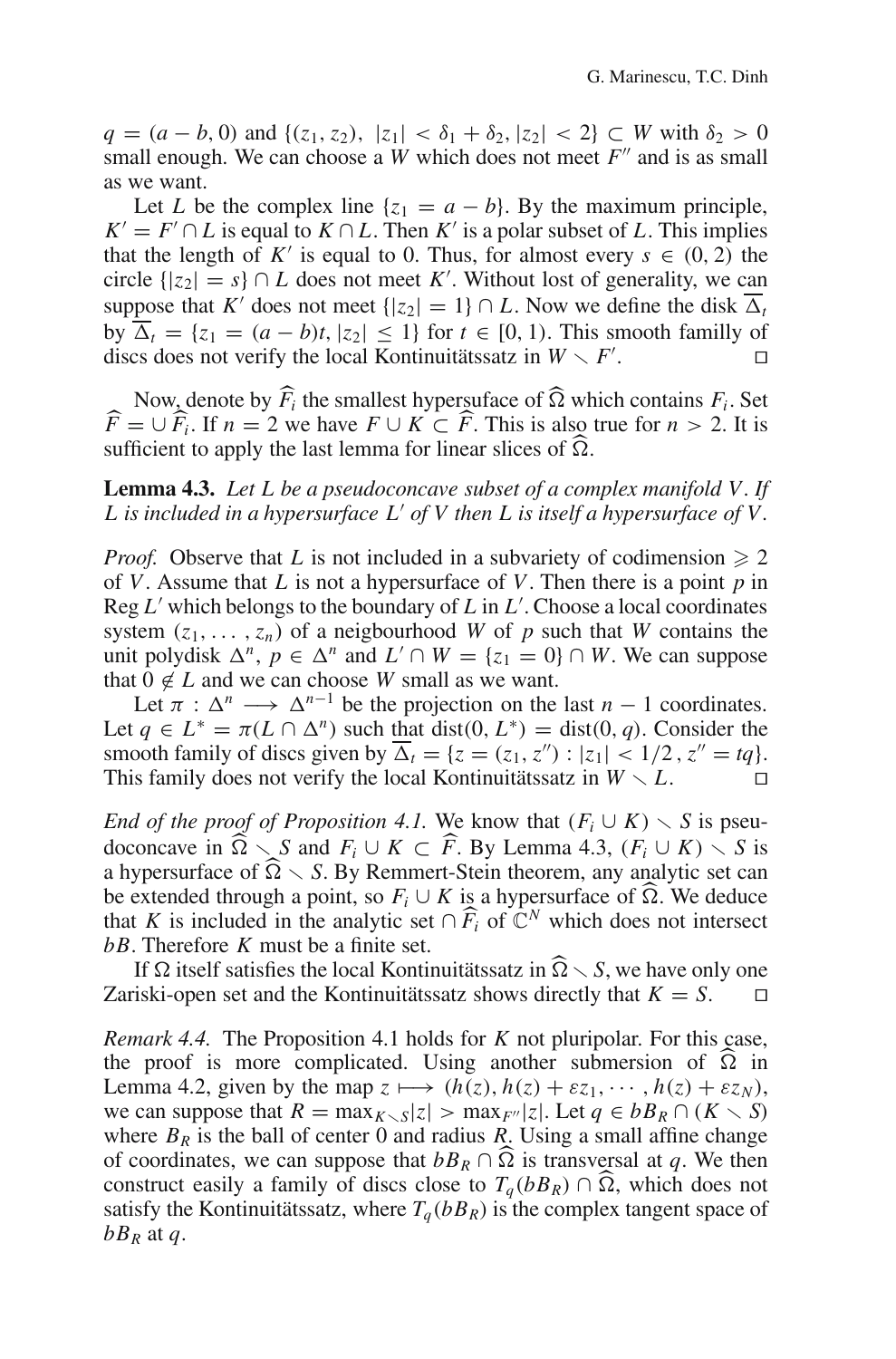*q* = (*a* − *b*, 0) and {(*z*<sub>1</sub>, *z*<sub>2</sub>), |*z*<sub>1</sub>| <  $\delta$ <sub>1</sub> +  $\delta$ <sub>2</sub>, |*z*<sub>2</sub>| < 2} ⊂ *W* with  $\delta$ <sub>2</sub> > 0 small enough. We can choose a *W* which does not meet  $F''$  and is as small as we want.

Let *L* be the complex line  $\{z_1 = a - b\}$ . By the maximum principle,  $K' = F' \cap L$  is equal to  $K \cap L$ . Then  $K'$  is a polar subset of L. This implies that the length of *K'* is equal to 0. Thus, for almost every  $s \in (0, 2)$  the circle  $\{ |z_2| = s \} \cap L$  does not meet *K'*. Without lost of generality, we can suppose that *K'* does not meet  $\{ |z_2| = 1 \} \cap L$ . Now we define the disk  $\overline{\Delta}_t$ by  $\overline{\Delta}_t = \{z_1 = (a - b)t, |z_2| \leq 1\}$  for  $t \in [0, 1)$ . This smooth familly of discs does not verify the local Kontinuitätssatz in  $W \setminus F'$ . . — П

Now, denote by  $\overline{F}_i$  the smallest hypersuface of  $\Omega$  which contains  $F_i$ . Set  $-1+\widehat{F}_i$ . If  $n-2$  we have  $F \cup K \subset \widehat{F}$ . This is also true for  $n > 2$ . It is  $\widehat{F} = \bigcup \widehat{F_i}$ . If  $n = 2$  we have  $F \cup K \subset \widehat{F}$ . This is also true for  $n > 2$ . It is sufficient to apply the last lemma for linear slices of  $\widehat{O}$ sufficient to apply the last lemma for linear slices of  $\widehat{\Omega}$ .

**Lemma 4.3.** *Let L be a pseudoconcave subset of a complex manifold V. If L is included in a hypersurface L of V then L is itself a hypersurface of V.*

*Proof.* Observe that *L* is not included in a subvariety of codimension  $\geq 2$ of *V*. Assume that *L* is not a hypersurface of *V*. Then there is a point *p* in Reg *L* which belongs to the boundary of *L* in *L* . Choose a local coordinates system  $(z_1, \ldots, z_n)$  of a neigbourhood *W* of *p* such that *W* contains the unit polydisk  $\Delta^n$ ,  $p \in \Delta^n$  and  $L' \cap W = \{z_1 = 0\} \cap W$ . We can suppose that  $0 \notin L$  and we can choose *W* small as we want.

Let  $\pi : \Delta^n \longrightarrow \Delta^{n-1}$  be the projection on the last  $n-1$  coordinates. Let  $q \in L^* = \pi(L \cap \Delta^n)$  such that dist(0,  $L^*$ ) = dist(0, *q*). Consider the smooth family of discs given by  $\overline{\Delta}_t = \{z = (z_1, z'') : |z_1| < 1/2, z'' = tq\}.$ This family does not verify the local Kontinuitätssatz in  $W \setminus L$ .

*End of the proof of Proposition 4.1.* We know that  $(F_i \cup K) \setminus S$  is pseudoconcave in  $\widehat{\Omega} \setminus S$  and  $F_i \cup K \subset \widehat{F}$ . By Lemma 4.3,  $(F_i \cup K) \setminus S$  is a hypersurface of  $\widehat{O} \setminus S$ . By Remmert-Stein theorem, any analytic set can a hypersurface of  $\widehat{\Omega} \setminus S$ . By Remmert-Stein theorem, any analytic set can be extended through a point, so  $F_i \cup K$  is a hypersurface of  $\widehat{\Omega}$ . We deduce that *K* is included in the analytic set  $\cap \widehat{F}_i$  of  $\widehat{C}^N$  which does not intersect  $hR$ . Therefore *K* must be a finite set *bB*. Therefore *K* must be a finite set.

If  $\Omega$  itself satisfies the local Kontinuitätssatz in  $\Omega \setminus S$ , we have only one Zariski-open set and the Kontinuitätssatz shows directly that  $K = S$ .

*Remark 4.4.* The Proposition 4.1 holds for *K* not pluripolar. For this case, the proof is more complicated. Using another submersion of  $\Omega$  in Lemma 4.2, given by the map  $z \mapsto (h(z), h(z) + \varepsilon z_1, \dots, h(z) + \varepsilon z_N)$ , we can suppose that  $R = \max_{K \setminus S} |z| > \max_{F''} |z|$ . Let  $q \in bB_R \cap (K \setminus S)$ where  $B_R$  is the ball of center 0 and radius *R*. Using a small affine change of coordinates, we can suppose that  $bB_R \cap \widehat{\Omega}$  is transversal at *q*. We then construct easily a family of discs close to  $T_q(bB_R) \cap \Omega$ , which does not satisfy the Kontinuitätssatz, where  $T_a(bB_R)$  is the complex tangent space of  $bB_R$  at *q*.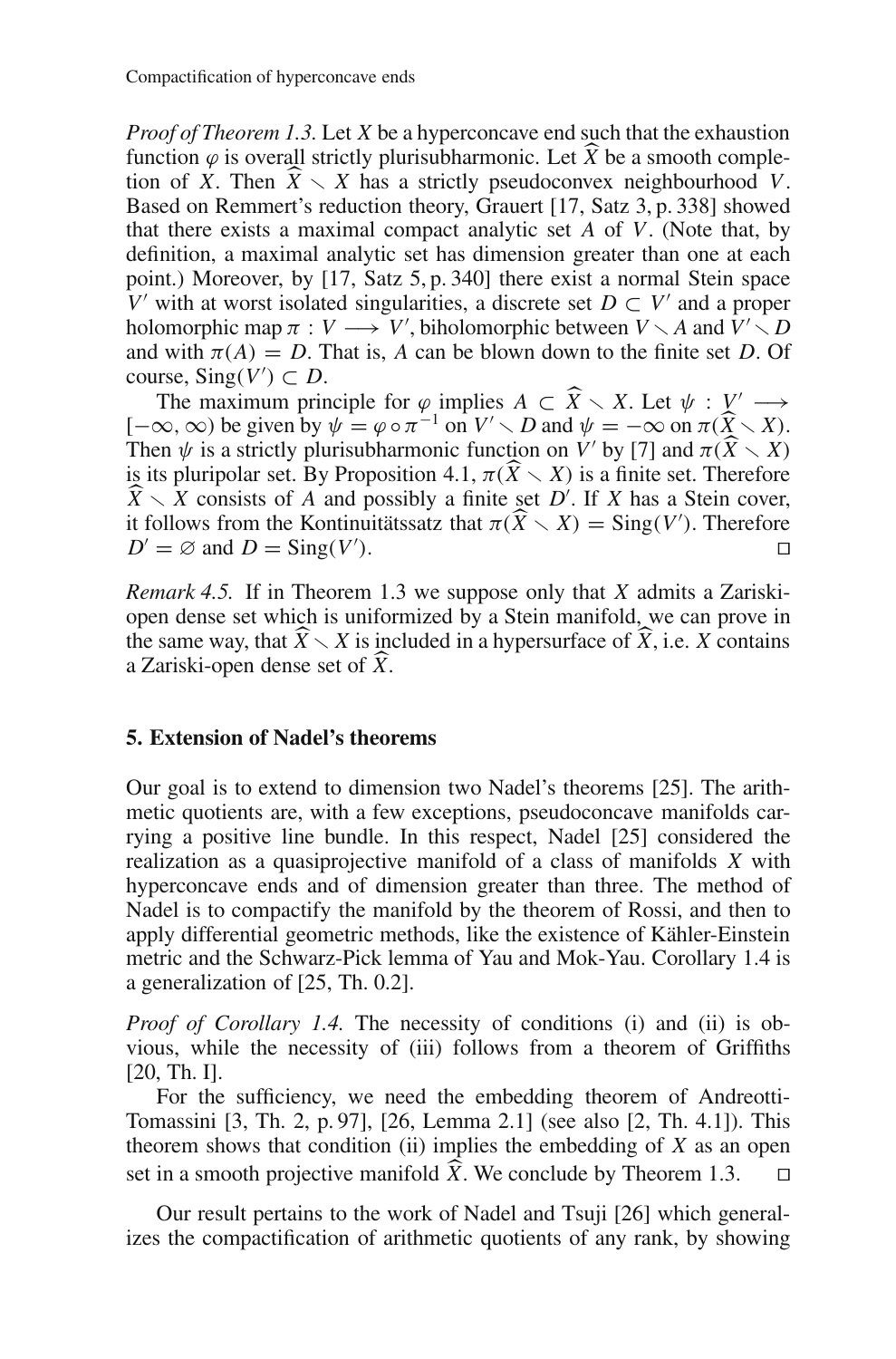*Proof of Theorem 1.3.* Let *X* be a hyperconcave end such that the exhaustion function  $\varphi$  is overall strictly plurisubharmonic. Let *X* be a smooth comple-<br>tion of *X*. Then  $\hat{X} \setminus X$  has a strictly pseudoconvex neighbourhood *V*. tion of *X*. Then  $\widehat{X} \setminus X$  has a strictly pseudoconvex neighbourhood *V*.<br>Based on Remmert's reduction theory Grauert [17, Satz 3, p. 338] showed Based on Remmert's reduction theory, Grauert [17, Satz 3, p. 338] showed that there exists a maximal compact analytic set *A* of *V*. (Note that, by definition, a maximal analytic set has dimension greater than one at each point.) Moreover, by [17, Satz 5, p. 340] there exist a normal Stein space *V* with at worst isolated singularities, a discrete set  $D \subset V'$  and a proper holomorphic map  $\pi : V \longrightarrow V'$ , biholomorphic between  $V \setminus A$  and  $V' \setminus D$ and with  $\pi(A) = D$ . That is, *A* can be blown down to the finite set *D*. Of course,  $\text{Sing}(V') \subset D$ .

The maximum principle for  $\varphi$  implies  $A \subset \widehat{X} \setminus X$ . Let  $\psi : V' \longrightarrow \infty$  on  $\mathbb{R}^p$  is given by  $\psi = \varphi \circ \pi^{-1}$  on  $V' \setminus D$  and  $\psi = -\infty$  on  $\pi(\widehat{Y} \setminus Y)$  $[-\infty,\infty)$  be given by  $\psi = \varphi \circ \pi^{-1}$  on  $V' \setminus D$  and  $\psi = -\infty$  on  $\pi(\widehat{X} \setminus X)$ .<br>Then  $\psi$  is a strictly plurisubharmonic function on  $V'$  by [7] and  $\pi(\widehat{Y} \setminus Y)$ . Then  $\psi$  is a strictly plurisubharmonic function on  $V'$  by [7] and  $\pi(\widehat{X} \setminus X)$  is a finite set Therefore is its pluripolar set. By Proposition 4.1,  $\pi(\widehat{X} \setminus X)$  is a finite set. Therefore  $\widehat{X} \setminus X$  consists of 4 and possibly a finite set  $D'$ . If X has a Stein cover  $\widehat{X} \setminus X$  consists of *A* and possibly a finite set *D*<sup>'</sup>. If *X* has a Stein cover, it follows from the Kontinuitätes at that  $\pi(\widehat{X} \setminus Y) = \text{Sing}(V')$ . Therefore it follows from the Kontinuitätssatz that  $\pi(\widehat{X} \setminus X) = \text{Sing}(V')$ . Therefore  $D' = \emptyset$  and  $D = \text{Sing}(V')$ .  $D' = \emptyset$  and  $D = \text{Sing}(V')$ . ).  $\Box$ 

*Remark 4.5.* If in Theorem 1.3 we suppose only that *X* admits a Zariskiopen dense set which is uniformized by a Stein manifold, we can prove in the same way, that  $\widehat{X} \setminus X$  is included in a hypersurface of  $\widehat{X}$ , i.e. *X* contains a Zariski-open dense set of  $\widehat{Y}$ a Zariski-open dense set of *X* .

#### **5. Extension of Nadel's theorems**

Our goal is to extend to dimension two Nadel's theorems [25]. The arithmetic quotients are, with a few exceptions, pseudoconcave manifolds carrying a positive line bundle. In this respect, Nadel [25] considered the realization as a quasiprojective manifold of a class of manifolds *X* with hyperconcave ends and of dimension greater than three. The method of Nadel is to compactify the manifold by the theorem of Rossi, and then to apply differential geometric methods, like the existence of Kähler-Einstein metric and the Schwarz-Pick lemma of Yau and Mok-Yau. Corollary 1.4 is a generalization of [25, Th. 0.2].

*Proof of Corollary 1.4.* The necessity of conditions (i) and (ii) is obvious, while the necessity of (iii) follows from a theorem of Griffiths [20, Th. I].

For the sufficiency, we need the embedding theorem of Andreotti-Tomassini [3, Th. 2, p. 97], [26, Lemma 2.1] (see also [2, Th. 4.1]). This theorem shows that condition (ii) implies the embedding of *X* as an open set in a smooth projective manifold *X*. We conclude by Theorem 1.3.  $\Box$ 

Our result pertains to the work of Nadel and Tsuji [26] which generalizes the compactification of arithmetic quotients of any rank, by showing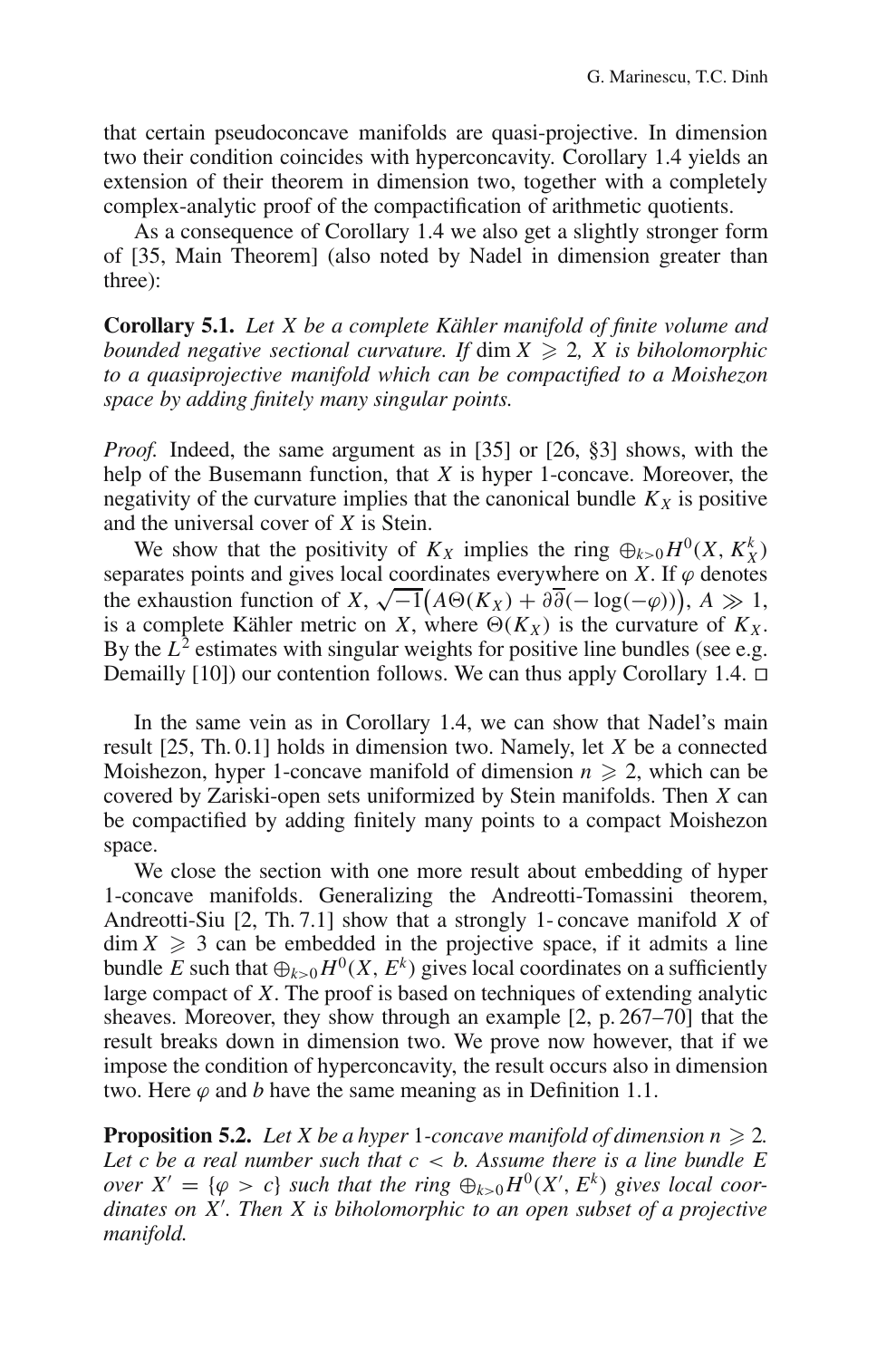that certain pseudoconcave manifolds are quasi-projective. In dimension two their condition coincides with hyperconcavity. Corollary 1.4 yields an extension of their theorem in dimension two, together with a completely complex-analytic proof of the compactification of arithmetic quotients.

As a consequence of Corollary 1.4 we also get a slightly stronger form of [35, Main Theorem] (also noted by Nadel in dimension greater than three):

**Corollary 5.1.** *Let X be a complete Kähler manifold of finite volume and bounded negative sectional curvature. If dim*  $X \geq 2$ *, X is biholomorphic to a quasiprojective manifold which can be compactified to a Moishezon space by adding finitely many singular points.*

*Proof.* Indeed, the same argument as in [35] or [26, §3] shows, with the help of the Busemann function, that *X* is hyper 1-concave. Moreover, the negativity of the curvature implies that the canonical bundle  $K_X$  is positive and the universal cover of *X* is Stein.

We show that the positivity of  $K_X$  implies the ring  $\bigoplus_{k>0} H^0(X, K_X^k)$ separates points and gives local coordinates everywhere on *X*. If  $\varphi$  denotes  $\Phi$  exhaustion function of *X*,  $\sqrt{-1}(A\Theta(K_X) + \partial \overline{\partial}(-\log(-\varphi)))$ , *A*  $\gg$  1, is a complete Kähler metric on *X*, where  $\Theta(K_X)$  is the curvature of  $K_X$ . By the  $L^2$  estimates with singular weights for positive line bundles (see e.g. Demailly [10]) our contention follows. We can thus apply Corollary 1.4.  $\square$ 

In the same vein as in Corollary 1.4, we can show that Nadel's main result [25, Th. 0.1] holds in dimension two. Namely, let *X* be a connected Moishezon, hyper 1-concave manifold of dimension  $n \geq 2$ , which can be covered by Zariski-open sets uniformized by Stein manifolds. Then *X* can be compactified by adding finitely many points to a compact Moishezon space.

We close the section with one more result about embedding of hyper 1-concave manifolds. Generalizing the Andreotti-Tomassini theorem, Andreotti-Siu [2, Th. 7.1] show that a strongly 1- concave manifold *X* of  $\dim X \geq 3$  can be embedded in the projective space, if it admits a line bundle *E* such that  $\bigoplus_{k>0} H^0(X, E^k)$  gives local coordinates on a sufficiently large compact of *X*. The proof is based on techniques of extending analytic sheaves. Moreover, they show through an example [2, p. 267–70] that the result breaks down in dimension two. We prove now however, that if we impose the condition of hyperconcavity, the result occurs also in dimension two. Here  $\varphi$  and *b* have the same meaning as in Definition 1.1.

**Proposition 5.2.** Let X be a hyper 1-concave manifold of dimension  $n \ge 2$ . *Let c be a real number such that c* < *b. Assume there is a line bundle E over*  $X' = \{\varphi > c\}$  *such that the ring*  $\bigoplus_{k>0} H^0(X', E^k)$  *gives local coordinates on X . Then X is biholomorphic to an open subset of a projective manifold.*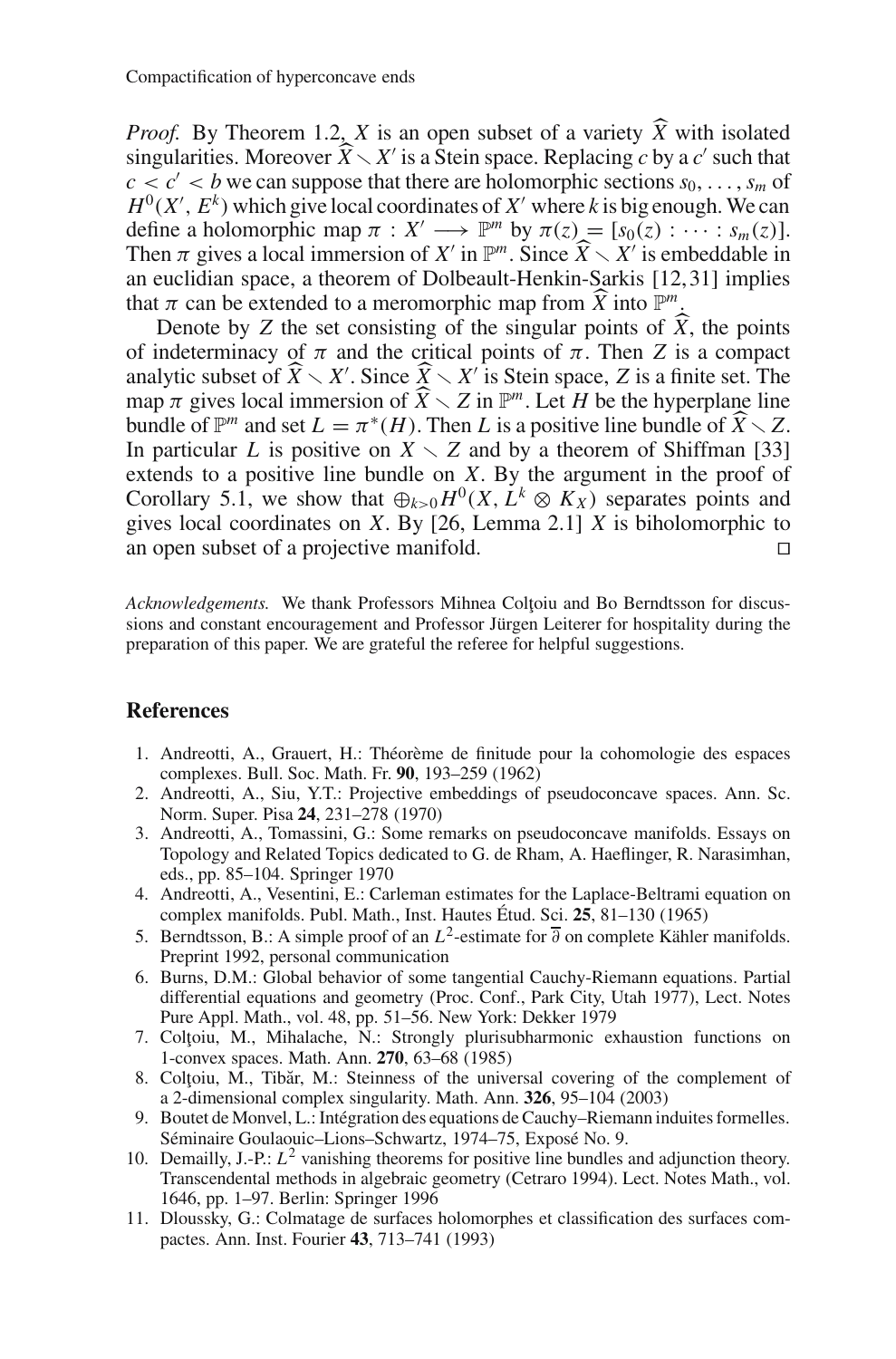*Proof.* By Theorem 1.2, *X* is an open subset of a variety  $\overline{X}$  with isolated singularities Moreover  $\hat{X} \setminus Y'$  is a Stein space. Replacing c by a c' such that singularities. Moreover  $\widehat{X} \setminus X'$  is a Stein space. Replacing *c* by a *c'* such that  $c < c' < b$  we can suppose that there are holomorphic sections  $s_0, \ldots, s_m$  of  $H^0(X', E^k)$  which give local coordinates of X' where k is big enough. We can define a holomorphic map  $\pi : X' \longrightarrow \mathbb{P}^m$  by  $\pi(z) = [s_0(z) : \cdots : s_m(z)].$ Then  $\pi$  gives a local immersion of *X'* in  $\mathbb{P}^m$ . Since  $\widehat{X} \setminus X'$  is embeddable in an euclidian space, a theorem of Dolbeault-Henkin-Sarkis [12, 31] implies an euclidian space, a theorem of Dolbeault-Henkin-Sarkis [12,31] implies that  $\pi$  can be extended to a meromorphic map from  $\widehat{X}$  into  $\mathbb{P}^m$ .<br>
Denote by Z the set consisting of the singular points of  $\widehat{X}$ 

Denote by *Z* the set consisting of the singular points of *X*, the points indeterminacy of  $\pi$  and the critical points of  $\pi$ . Then *Z* is a connact of indeterminacy of  $\pi$  and the critical points of  $\pi$ . Then *Z* is a compact analytic subset of  $\widehat{X} \setminus X'$ . Since  $\widehat{X} \setminus X'$  is Stein space, *Z* is a finite set. The map  $\pi$  gives local immersion of  $\widehat{X} \setminus Z$  in  $\mathbb{P}^m$ . Let *H* be the hyperplane line<br>bundle of  $\mathbb{P}^m$  and set  $I = \pi^*(H)$ . Then *I* is a positive line bundle of  $\widehat{X} \setminus Z$ bundle of  $\mathbb{P}^m$  and set  $L = \pi^*(H)$ . Then *L* is a positive line bundle of  $\widehat{X} \setminus Z$ .<br>In particular *L* is positive on  $X \setminus Z$  and by a theorem of Shiffman [33] In particular *L* is positive on  $X \setminus Z$  and by a theorem of Shiffman [33] extends to a positive line bundle on *X*. By the argument in the proof of Corollary 5.1, we show that  $\bigoplus_{k>0} H^0(X, L^k \otimes K_X)$  separates points and gives local coordinates on *X*. By [26, Lemma 2.1] *X* is biholomorphic to an open subset of a projective manifold.

Acknowledgements. We thank Professors Mihnea Coltoiu and Bo Berndtsson for discussions and constant encouragement and Professor Jürgen Leiterer for hospitality during the preparation of this paper. We are grateful the referee for helpful suggestions.

#### **References**

- 1. Andreotti, A., Grauert, H.: Théorème de finitude pour la cohomologie des espaces complexes. Bull. Soc. Math. Fr. **90**, 193–259 (1962)
- 2. Andreotti, A., Siu, Y.T.: Projective embeddings of pseudoconcave spaces. Ann. Sc. Norm. Super. Pisa **24**, 231–278 (1970)
- 3. Andreotti, A., Tomassini, G.: Some remarks on pseudoconcave manifolds. Essays on Topology and Related Topics dedicated to G. de Rham, A. Haeflinger, R. Narasimhan, eds., pp. 85–104. Springer 1970
- 4. Andreotti, A., Vesentini, E.: Carleman estimates for the Laplace-Beltrami equation on complex manifolds. Publ. Math., Inst. Hautes Étud. Sci. **25**, 81–130 (1965)
- 5. Berndtsson, B.: A simple proof of an  $L^2$ -estimate for  $\overline{\partial}$  on complete Kähler manifolds. Preprint 1992, personal communication
- 6. Burns, D.M.: Global behavior of some tangential Cauchy-Riemann equations. Partial differential equations and geometry (Proc. Conf., Park City, Utah 1977), Lect. Notes Pure Appl. Math., vol. 48, pp. 51–56. New York: Dekker 1979
- 7. Coltoiu, M., Mihalache, N.: Strongly plurisubharmonic exhaustion functions on 1-convex spaces. Math. Ann. **270**, 63–68 (1985)
- 8. Coltoiu, M., Tibăr, M.: Steinness of the universal covering of the complement of a 2-dimensional complex singularity. Math. Ann. **326**, 95–104 (2003)
- 9. Boutet de Monvel, L.: Intégration des equations de Cauchy–Riemann induites formelles. Séminaire Goulaouic–Lions–Schwartz, 1974–75, Exposé No. 9.
- 10. Demailly, J.-P.: *L*<sup>2</sup> vanishing theorems for positive line bundles and adjunction theory. Transcendental methods in algebraic geometry (Cetraro 1994). Lect. Notes Math., vol. 1646, pp. 1–97. Berlin: Springer 1996
- 11. Dloussky, G.: Colmatage de surfaces holomorphes et classification des surfaces compactes. Ann. Inst. Fourier **43**, 713–741 (1993)